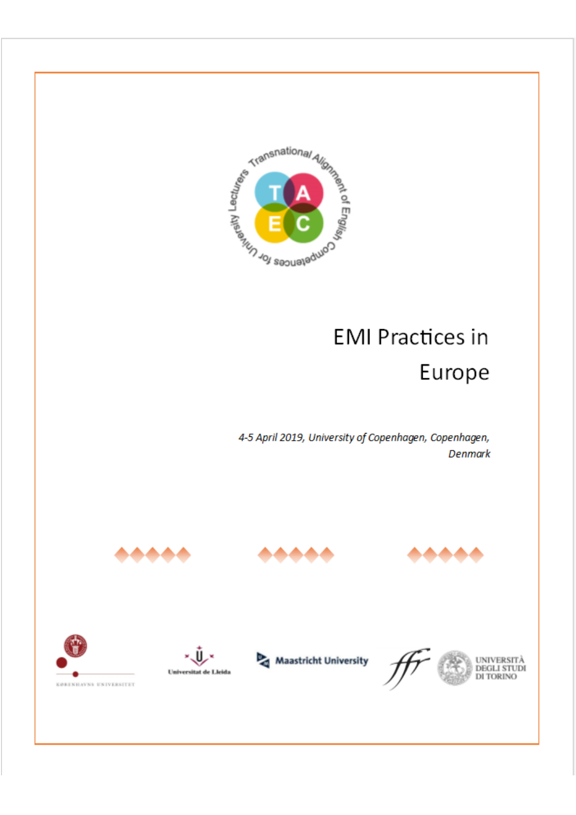<span id="page-0-0"></span>

# **EMI Practices in**

# Europe

4-5 April 2019, University of Copenhagen, Copenhagen, **Denmark** 















**UNIVERSITÀ DEGLI STUDI**<br>DI TORINO

KØRENHAVNS UNIVERSITET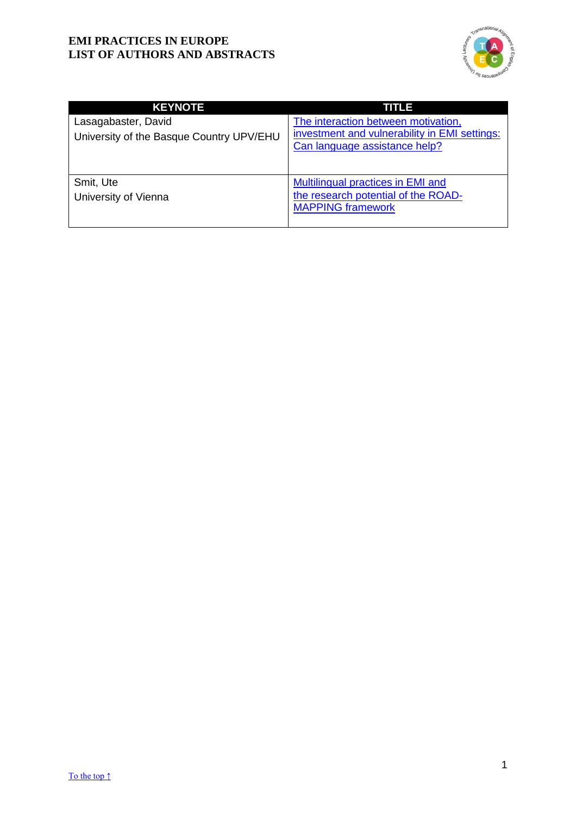

| <b>KEYNOTE</b>                                                  | TITLE                                                                                                                 |
|-----------------------------------------------------------------|-----------------------------------------------------------------------------------------------------------------------|
| Lasagabaster, David<br>University of the Basque Country UPV/EHU | The interaction between motivation,<br>investment and vulnerability in EMI settings:<br>Can language assistance help? |
| Smit, Ute<br>University of Vienna                               | Multilingual practices in EMI and<br>the research potential of the ROAD-<br><b>MAPPING framework</b>                  |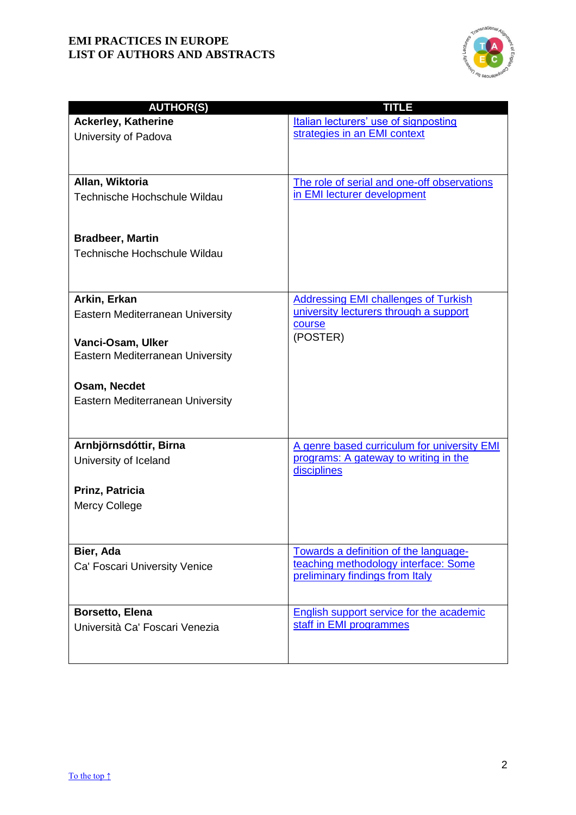

| <b>AUTHOR(S)</b>                           | <b>TITLE</b>                                                                  |
|--------------------------------------------|-------------------------------------------------------------------------------|
| <b>Ackerley, Katherine</b>                 | Italian lecturers' use of signposting                                         |
| University of Padova                       | strategies in an EMI context                                                  |
|                                            |                                                                               |
|                                            |                                                                               |
| Allan, Wiktoria                            | The role of serial and one-off observations                                   |
| Technische Hochschule Wildau               | in EMI lecturer development                                                   |
|                                            |                                                                               |
|                                            |                                                                               |
| <b>Bradbeer, Martin</b>                    |                                                                               |
| Technische Hochschule Wildau               |                                                                               |
|                                            |                                                                               |
| Arkin, Erkan                               | <b>Addressing EMI challenges of Turkish</b>                                   |
| Eastern Mediterranean University           | university lecturers through a support                                        |
|                                            | course                                                                        |
| Vanci-Osam, Ulker                          | (POSTER)                                                                      |
| Eastern Mediterranean University           |                                                                               |
|                                            |                                                                               |
| Osam, Necdet                               |                                                                               |
| Eastern Mediterranean University           |                                                                               |
|                                            |                                                                               |
|                                            |                                                                               |
| Arnbjörnsdóttir, Birna                     | A genre based curriculum for university EMI                                   |
| University of Iceland                      | programs: A gateway to writing in the<br>disciplines                          |
|                                            |                                                                               |
| Prinz, Patricia                            |                                                                               |
| <b>Mercy College</b>                       |                                                                               |
|                                            |                                                                               |
|                                            |                                                                               |
| Bier, Ada<br>Ca' Foscari University Venice | Towards a definition of the language-<br>teaching methodology interface: Some |
|                                            | preliminary findings from Italy                                               |
|                                            |                                                                               |
| Borsetto, Elena                            | English support service for the academic                                      |
| Università Ca' Foscari Venezia             | staff in EMI programmes                                                       |
|                                            |                                                                               |
|                                            |                                                                               |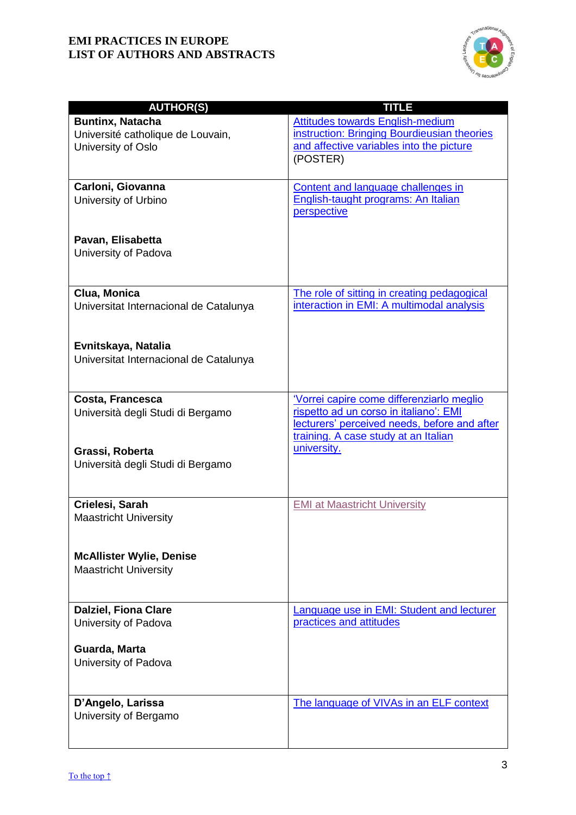

| <b>AUTHOR(S)</b>                       | <b>TITLE</b>                                 |
|----------------------------------------|----------------------------------------------|
| <b>Buntinx, Natacha</b>                | <b>Attitudes towards English-medium</b>      |
|                                        | instruction: Bringing Bourdieusian theories  |
| Université catholique de Louvain,      |                                              |
| University of Oslo                     | and affective variables into the picture     |
|                                        | (POSTER)                                     |
|                                        |                                              |
| Carloni, Giovanna                      | Content and language challenges in           |
| University of Urbino                   | English-taught programs: An Italian          |
|                                        | perspective                                  |
|                                        |                                              |
| Pavan, Elisabetta                      |                                              |
| University of Padova                   |                                              |
|                                        |                                              |
|                                        |                                              |
|                                        |                                              |
| Clua, Monica                           | The role of sitting in creating pedagogical  |
| Universitat Internacional de Catalunya | interaction in EMI: A multimodal analysis    |
|                                        |                                              |
|                                        |                                              |
| Evnitskaya, Natalia                    |                                              |
| Universitat Internacional de Catalunya |                                              |
|                                        |                                              |
|                                        |                                              |
| Costa, Francesca                       | Vorrei capire come differenziarlo meglio     |
| Università degli Studi di Bergamo      | rispetto ad un corso in italiano': EMI       |
|                                        | lecturers' perceived needs, before and after |
|                                        | training. A case study at an Italian         |
|                                        | university.                                  |
| Grassi, Roberta                        |                                              |
| Università degli Studi di Bergamo      |                                              |
|                                        |                                              |
|                                        |                                              |
| Crielesi, Sarah                        | <b>EMI at Maastricht University</b>          |
| <b>Maastricht University</b>           |                                              |
|                                        |                                              |
|                                        |                                              |
| <b>McAllister Wylie, Denise</b>        |                                              |
| <b>Maastricht University</b>           |                                              |
|                                        |                                              |
|                                        |                                              |
| <b>Dalziel, Fiona Clare</b>            | Language use in EMI: Student and lecturer    |
| University of Padova                   | practices and attitudes                      |
|                                        |                                              |
| Guarda, Marta                          |                                              |
|                                        |                                              |
| University of Padova                   |                                              |
|                                        |                                              |
|                                        |                                              |
| D'Angelo, Larissa                      | The language of VIVAs in an ELF context      |
| University of Bergamo                  |                                              |
|                                        |                                              |
|                                        |                                              |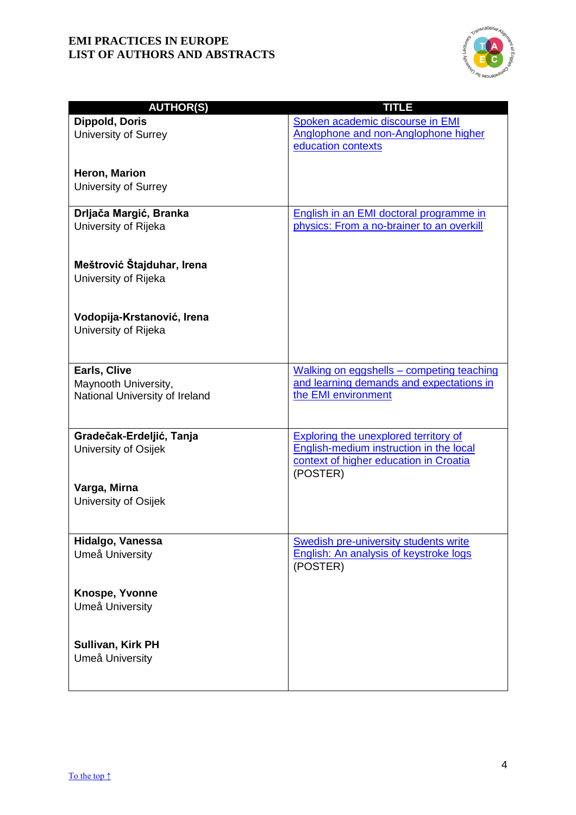

| <b>AUTHOR(S)</b>               | <b>TITLE</b>                                                    |
|--------------------------------|-----------------------------------------------------------------|
| Dippold, Doris                 | Spoken academic discourse in EMI                                |
| University of Surrey           | Anglophone and non-Anglophone higher                            |
|                                | education contexts                                              |
|                                |                                                                 |
| Heron, Marion                  |                                                                 |
| University of Surrey           |                                                                 |
| Drljača Margić, Branka         | English in an EMI doctoral programme in                         |
| University of Rijeka           | physics: From a no-brainer to an overkill                       |
|                                |                                                                 |
|                                |                                                                 |
| Meštrović Štajduhar, Irena     |                                                                 |
| University of Rijeka           |                                                                 |
|                                |                                                                 |
| Vodopija-Krstanović, Irena     |                                                                 |
| University of Rijeka           |                                                                 |
|                                |                                                                 |
|                                |                                                                 |
| Earls, Clive                   | Walking on eggshells - competing teaching                       |
| Maynooth University,           | and learning demands and expectations in<br>the EMI environment |
| National University of Ireland |                                                                 |
|                                |                                                                 |
| Gradečak-Erdeljić, Tanja       | <b>Exploring the unexplored territory of</b>                    |
| University of Osijek           | English-medium instruction in the local                         |
|                                | context of higher education in Croatia<br>(POSTER)              |
| Varga, Mirna                   |                                                                 |
| University of Osijek           |                                                                 |
|                                |                                                                 |
|                                |                                                                 |
| Hidalgo, Vanessa               | Swedish pre-university students write                           |
| Umeå University                | <b>English: An analysis of keystroke logs</b><br>(POSTER)       |
|                                |                                                                 |
| Knospe, Yvonne                 |                                                                 |
| Umeå University                |                                                                 |
|                                |                                                                 |
|                                |                                                                 |
| Sullivan, Kirk PH              |                                                                 |
| Umeå University                |                                                                 |
|                                |                                                                 |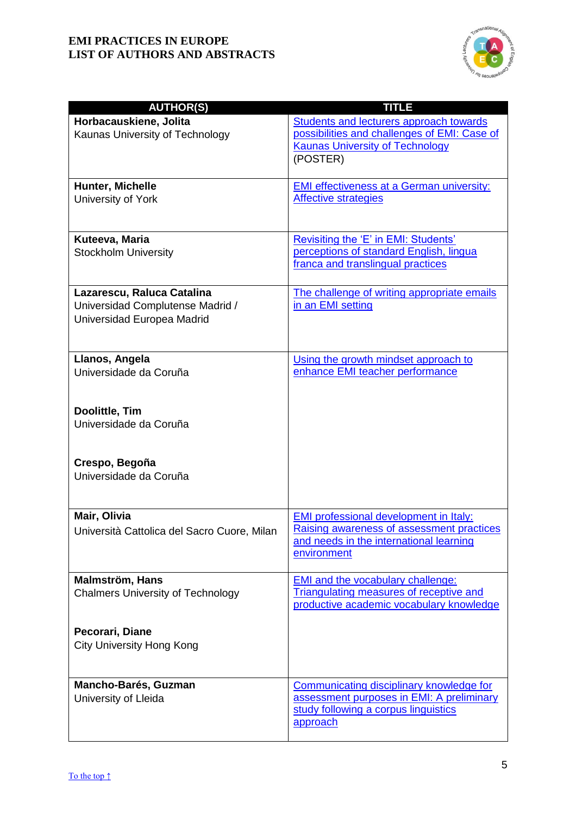

| <b>AUTHOR(S)</b>                            | <b>TITLE</b>                                                                               |
|---------------------------------------------|--------------------------------------------------------------------------------------------|
| Horbacauskiene, Jolita                      | Students and lecturers approach towards                                                    |
| Kaunas University of Technology             | possibilities and challenges of EMI: Case of                                               |
|                                             | <b>Kaunas University of Technology</b>                                                     |
|                                             | (POSTER)                                                                                   |
|                                             |                                                                                            |
| Hunter, Michelle                            | <b>EMI effectiveness at a German university:</b>                                           |
| University of York                          | <b>Affective strategies</b>                                                                |
|                                             |                                                                                            |
|                                             |                                                                                            |
| Kuteeva, Maria                              | Revisiting the 'E' in EMI: Students'                                                       |
| <b>Stockholm University</b>                 | perceptions of standard English, lingua                                                    |
|                                             | franca and translingual practices                                                          |
|                                             |                                                                                            |
| Lazarescu, Raluca Catalina                  | The challenge of writing appropriate emails                                                |
| Universidad Complutense Madrid /            | in an EMI setting                                                                          |
| Universidad Europea Madrid                  |                                                                                            |
|                                             |                                                                                            |
|                                             |                                                                                            |
| Llanos, Angela                              | Using the growth mindset approach to                                                       |
| Universidade da Coruña                      | enhance EMI teacher performance                                                            |
|                                             |                                                                                            |
|                                             |                                                                                            |
| Doolittle, Tim                              |                                                                                            |
| Universidade da Coruña                      |                                                                                            |
|                                             |                                                                                            |
| Crespo, Begoña                              |                                                                                            |
| Universidade da Coruña                      |                                                                                            |
|                                             |                                                                                            |
|                                             |                                                                                            |
| Mair, Olivia                                | <b>EMI professional development in Italy:</b>                                              |
| Università Cattolica del Sacro Cuore, Milan | Raising awareness of assessment practices                                                  |
|                                             | and needs in the international learning                                                    |
|                                             | environment                                                                                |
|                                             |                                                                                            |
| Malmström, Hans                             | <b>EMI and the vocabulary challenge:</b><br><b>Triangulating measures of receptive and</b> |
| <b>Chalmers University of Technology</b>    | productive academic vocabulary knowledge                                                   |
|                                             |                                                                                            |
| Pecorari, Diane                             |                                                                                            |
| <b>City University Hong Kong</b>            |                                                                                            |
|                                             |                                                                                            |
|                                             |                                                                                            |
| Mancho-Barés, Guzman                        | <b>Communicating disciplinary knowledge for</b>                                            |
| University of Lleida                        | assessment purposes in EMI: A preliminary                                                  |
|                                             | study following a corpus linguistics                                                       |
|                                             | approach                                                                                   |
|                                             |                                                                                            |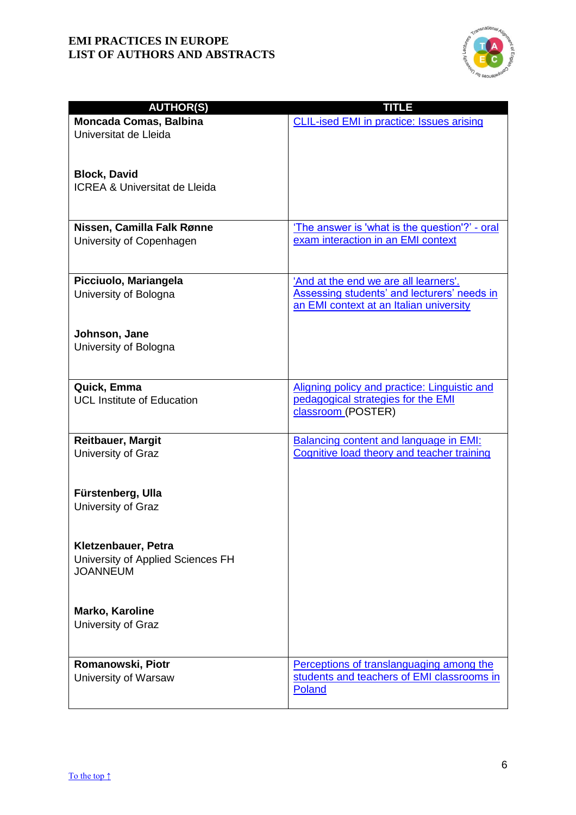

| <b>AUTHOR(S)</b>                                       | TITLE                                                                                |
|--------------------------------------------------------|--------------------------------------------------------------------------------------|
| <b>Moncada Comas, Balbina</b>                          | <b>CLIL-ised EMI in practice: Issues arising</b>                                     |
| Universitat de Lleida                                  |                                                                                      |
|                                                        |                                                                                      |
|                                                        |                                                                                      |
| <b>Block, David</b>                                    |                                                                                      |
| <b>ICREA &amp; Universitat de Lleida</b>               |                                                                                      |
|                                                        |                                                                                      |
|                                                        |                                                                                      |
| Nissen, Camilla Falk Rønne<br>University of Copenhagen | 'The answer is 'what is the question'?' - oral<br>exam interaction in an EMI context |
|                                                        |                                                                                      |
|                                                        |                                                                                      |
| Picciuolo, Mariangela                                  | 'And at the end we are all learners'.                                                |
| University of Bologna                                  | Assessing students' and lecturers' needs in                                          |
|                                                        | an EMI context at an Italian university                                              |
|                                                        |                                                                                      |
| Johnson, Jane                                          |                                                                                      |
| University of Bologna                                  |                                                                                      |
|                                                        |                                                                                      |
| Quick, Emma                                            | Aligning policy and practice: Linguistic and                                         |
| <b>UCL Institute of Education</b>                      | pedagogical strategies for the EMI                                                   |
|                                                        | classroom (POSTER)                                                                   |
|                                                        |                                                                                      |
| <b>Reitbauer, Margit</b>                               | <b>Balancing content and language in EMI:</b>                                        |
| University of Graz                                     | Cognitive load theory and teacher training                                           |
|                                                        |                                                                                      |
|                                                        |                                                                                      |
| Fürstenberg, Ulla<br>University of Graz                |                                                                                      |
|                                                        |                                                                                      |
|                                                        |                                                                                      |
| Kletzenbauer, Petra                                    |                                                                                      |
| University of Applied Sciences FH                      |                                                                                      |
| <b>JOANNEUM</b>                                        |                                                                                      |
|                                                        |                                                                                      |
|                                                        |                                                                                      |
| Marko, Karoline<br>University of Graz                  |                                                                                      |
|                                                        |                                                                                      |
|                                                        |                                                                                      |
| Romanowski, Piotr                                      | Perceptions of translanguaging among the                                             |
| University of Warsaw                                   | students and teachers of EMI classrooms in                                           |
|                                                        | Poland                                                                               |
|                                                        |                                                                                      |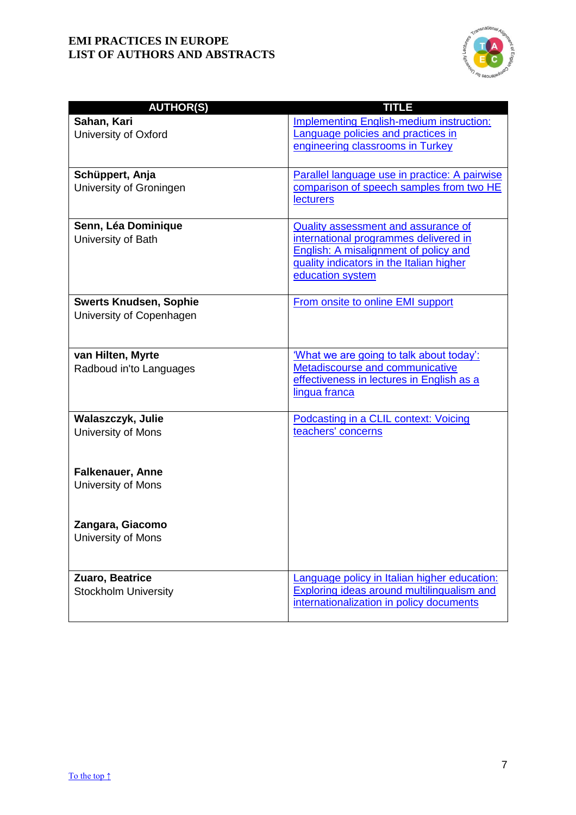

| <b>AUTHOR(S)</b>                                          | <b>TITLE</b>                                                                                                                                                                          |
|-----------------------------------------------------------|---------------------------------------------------------------------------------------------------------------------------------------------------------------------------------------|
| Sahan, Kari<br>University of Oxford                       | <b>Implementing English-medium instruction:</b><br>Language policies and practices in<br>engineering classrooms in Turkey                                                             |
| Schüppert, Anja<br>University of Groningen                | Parallel language use in practice: A pairwise<br>comparison of speech samples from two HE<br><b>lecturers</b>                                                                         |
| Senn, Léa Dominique<br>University of Bath                 | Quality assessment and assurance of<br>international programmes delivered in<br>English: A misalignment of policy and<br>quality indicators in the Italian higher<br>education system |
| <b>Swerts Knudsen, Sophie</b><br>University of Copenhagen | From onsite to online EMI support                                                                                                                                                     |
| van Hilten, Myrte<br>Radboud in'to Languages              | 'What we are going to talk about today':<br>Metadiscourse and communicative<br>effectiveness in lectures in English as a<br>lingua franca                                             |
| Walaszczyk, Julie<br>University of Mons                   | Podcasting in a CLIL context: Voicing<br>teachers' concerns                                                                                                                           |
| <b>Falkenauer, Anne</b><br>University of Mons             |                                                                                                                                                                                       |
| Zangara, Giacomo<br>University of Mons                    |                                                                                                                                                                                       |
| Zuaro, Beatrice<br><b>Stockholm University</b>            | Language policy in Italian higher education:<br><b>Exploring ideas around multilingualism and</b><br>internationalization in policy documents                                         |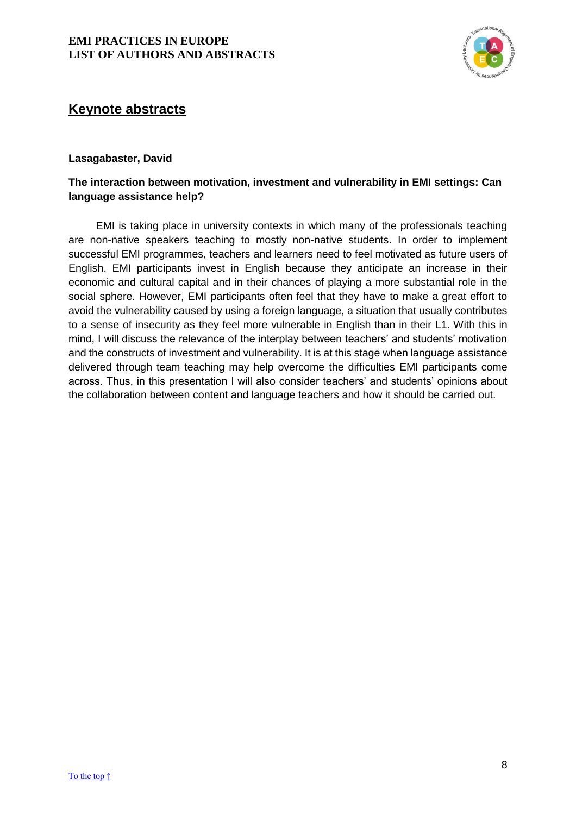

# <span id="page-8-0"></span>**Keynote abstracts**

## **Lasagabaster, David**

# **The interaction between motivation, investment and vulnerability in EMI settings: Can language assistance help?**

<span id="page-8-1"></span>EMI is taking place in university contexts in which many of the professionals teaching are non-native speakers teaching to mostly non-native students. In order to implement successful EMI programmes, teachers and learners need to feel motivated as future users of English. EMI participants invest in English because they anticipate an increase in their economic and cultural capital and in their chances of playing a more substantial role in the social sphere. However, EMI participants often feel that they have to make a great effort to avoid the vulnerability caused by using a foreign language, a situation that usually contributes to a sense of insecurity as they feel more vulnerable in English than in their L1. With this in mind, I will discuss the relevance of the interplay between teachers' and students' motivation and the constructs of investment and vulnerability. It is at this stage when language assistance delivered through team teaching may help overcome the difficulties EMI participants come across. Thus, in this presentation I will also consider teachers' and students' opinions about the collaboration between content and language teachers and how it should be carried out.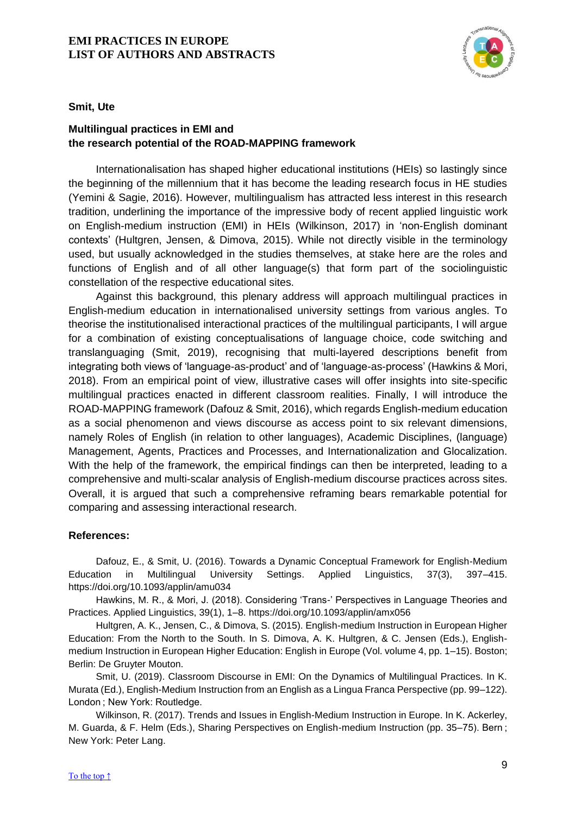

**Smit, Ute**

# **Multilingual practices in EMI and the research potential of the ROAD-MAPPING framework**

Internationalisation has shaped higher educational institutions (HEIs) so lastingly since the beginning of the millennium that it has become the leading research focus in HE studies (Yemini & Sagie, 2016). However, multilingualism has attracted less interest in this research tradition, underlining the importance of the impressive body of recent applied linguistic work on English-medium instruction (EMI) in HEIs (Wilkinson, 2017) in 'non-English dominant contexts' (Hultgren, Jensen, & Dimova, 2015). While not directly visible in the terminology used, but usually acknowledged in the studies themselves, at stake here are the roles and functions of English and of all other language(s) that form part of the sociolinguistic constellation of the respective educational sites.

Against this background, this plenary address will approach multilingual practices in English-medium education in internationalised university settings from various angles. To theorise the institutionalised interactional practices of the multilingual participants, I will argue for a combination of existing conceptualisations of language choice, code switching and translanguaging (Smit, 2019), recognising that multi-layered descriptions benefit from integrating both views of 'language-as-product' and of 'language-as-process' (Hawkins & Mori, 2018). From an empirical point of view, illustrative cases will offer insights into site-specific multilingual practices enacted in different classroom realities. Finally, I will introduce the ROAD-MAPPING framework (Dafouz & Smit, 2016), which regards English-medium education as a social phenomenon and views discourse as access point to six relevant dimensions, namely Roles of English (in relation to other languages), Academic Disciplines, (language) Management, Agents, Practices and Processes, and Internationalization and Glocalization. With the help of the framework, the empirical findings can then be interpreted, leading to a comprehensive and multi-scalar analysis of English-medium discourse practices across sites. Overall, it is argued that such a comprehensive reframing bears remarkable potential for comparing and assessing interactional research.

## **References:**

Dafouz, E., & Smit, U. (2016). Towards a Dynamic Conceptual Framework for English-Medium Education in Multilingual University Settings. Applied Linguistics, 37(3), 397–415. https://doi.org/10.1093/applin/amu034

Hawkins, M. R., & Mori, J. (2018). Considering 'Trans-' Perspectives in Language Theories and Practices. Applied Linguistics, 39(1), 1–8. https://doi.org/10.1093/applin/amx056

Hultgren, A. K., Jensen, C., & Dimova, S. (2015). English-medium Instruction in European Higher Education: From the North to the South. In S. Dimova, A. K. Hultgren, & C. Jensen (Eds.), Englishmedium Instruction in European Higher Education: English in Europe (Vol. volume 4, pp. 1–15). Boston; Berlin: De Gruyter Mouton.

Smit, U. (2019). Classroom Discourse in EMI: On the Dynamics of Multilingual Practices. In K. Murata (Ed.), English-Medium Instruction from an English as a Lingua Franca Perspective (pp. 99–122). London ; New York: Routledge.

Wilkinson, R. (2017). Trends and Issues in English-Medium Instruction in Europe. In K. Ackerley, M. Guarda, & F. Helm (Eds.), Sharing Perspectives on English-medium Instruction (pp. 35–75). Bern ; New York: Peter Lang.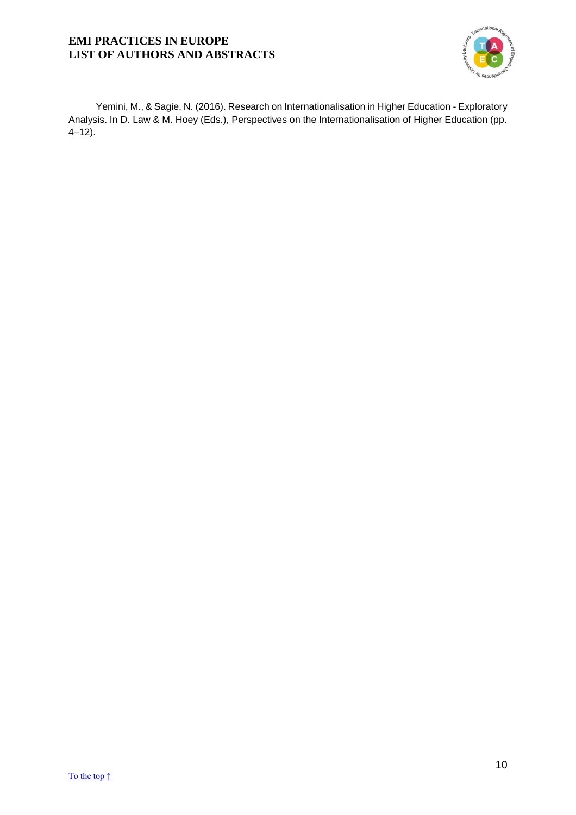

Yemini, M., & Sagie, N. (2016). Research on Internationalisation in Higher Education - Exploratory Analysis. In D. Law & M. Hoey (Eds.), Perspectives on the Internationalisation of Higher Education (pp. 4–12).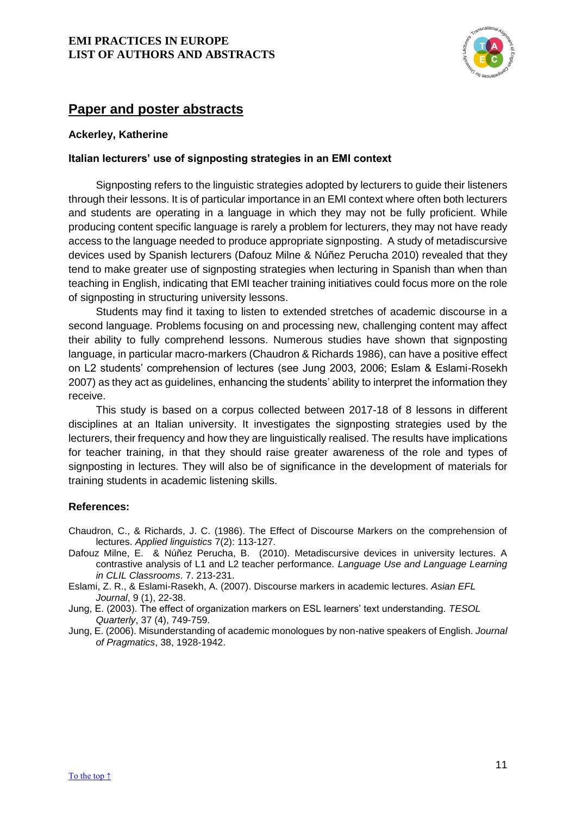

# **Paper and poster abstracts**

## **Ackerley, Katherine**

## <span id="page-11-0"></span>**Italian lecturers' use of signposting strategies in an EMI context**

Signposting refers to the linguistic strategies adopted by lecturers to guide their listeners through their lessons. It is of particular importance in an EMI context where often both lecturers and students are operating in a language in which they may not be fully proficient. While producing content specific language is rarely a problem for lecturers, they may not have ready access to the language needed to produce appropriate signposting. A study of metadiscursive devices used by Spanish lecturers (Dafouz Milne & Núñez Perucha 2010) revealed that they tend to make greater use of signposting strategies when lecturing in Spanish than when than teaching in English, indicating that EMI teacher training initiatives could focus more on the role of signposting in structuring university lessons.

Students may find it taxing to listen to extended stretches of academic discourse in a second language. Problems focusing on and processing new, challenging content may affect their ability to fully comprehend lessons. Numerous studies have shown that signposting language, in particular macro-markers (Chaudron & Richards 1986), can have a positive effect on L2 students' comprehension of lectures (see Jung 2003, 2006; Eslam & Eslami-Rosekh 2007) as they act as guidelines, enhancing the students' ability to interpret the information they receive.

This study is based on a corpus collected between 2017-18 of 8 lessons in different disciplines at an Italian university. It investigates the signposting strategies used by the lecturers, their frequency and how they are linguistically realised. The results have implications for teacher training, in that they should raise greater awareness of the role and types of signposting in lectures. They will also be of significance in the development of materials for training students in academic listening skills.

#### **References:**

- Chaudron, C., & Richards, J. C. (1986). The Effect of Discourse Markers on the comprehension of lectures. *Applied linguistics* 7(2): 113-127.
- Dafouz Milne, E. & Núñez Perucha, B. (2010). Metadiscursive devices in university lectures. A contrastive analysis of L1 and L2 teacher performance. *Language Use and Language Learning in CLIL Classrooms*. 7. 213-231.
- Eslami, Z. R., & Eslami-Rasekh, A. (2007). Discourse markers in academic lectures. *Asian EFL Journal*, 9 (1), 22-38.

Jung, E. (2003). The effect of organization markers on ESL learners' text understanding. *TESOL Quarterly*, 37 (4), 749-759.

Jung, E. (2006). Misunderstanding of academic monologues by non-native speakers of English. *Journal of Pragmatics*, 38, 1928-1942.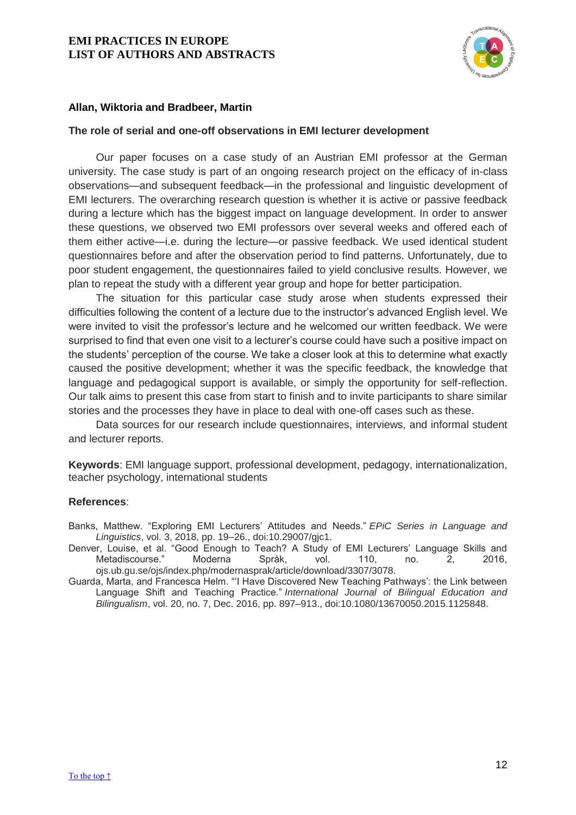

## **Allan, Wiktoria and Bradbeer, Martin**

#### <span id="page-12-0"></span>**The role of serial and one-off observations in EMI lecturer development**

Our paper focuses on a case study of an Austrian EMI professor at the German university. The case study is part of an ongoing research project on the efficacy of in-class observations—and subsequent feedback—in the professional and linguistic development of EMI lecturers. The overarching research question is whether it is active or passive feedback during a lecture which has the biggest impact on language development. In order to answer these questions, we observed two EMI professors over several weeks and offered each of them either active—i.e. during the lecture—or passive feedback. We used identical student questionnaires before and after the observation period to find patterns. Unfortunately, due to poor student engagement, the questionnaires failed to yield conclusive results. However, we plan to repeat the study with a different year group and hope for better participation.

The situation for this particular case study arose when students expressed their difficulties following the content of a lecture due to the instructor's advanced English level. We were invited to visit the professor's lecture and he welcomed our written feedback. We were surprised to find that even one visit to a lecturer's course could have such a positive impact on the students' perception of the course. We take a closer look at this to determine what exactly caused the positive development; whether it was the specific feedback, the knowledge that language and pedagogical support is available, or simply the opportunity for self-reflection. Our talk aims to present this case from start to finish and to invite participants to share similar stories and the processes they have in place to deal with one-off cases such as these.

Data sources for our research include questionnaires, interviews, and informal student and lecturer reports.

**Keywords**: EMI language support, professional development, pedagogy, internationalization, teacher psychology, international students

#### **References**:

Banks, Matthew. "Exploring EMI Lecturers' Attitudes and Needs." *EPiC Series in Language and Linguistics*, vol. 3, 2018, pp. 19–26., doi:10.29007/gjc1.

Denver, Louise, et al. "Good Enough to Teach? A Study of EMI Lecturers' Language Skills and Metadiscourse." Moderna Språk, vol. 110, no. 2, 2016, ojs.ub.gu.se/ojs/index.php/modernasprak/article/download/3307/3078.

Guarda, Marta, and Francesca Helm. "'I Have Discovered New Teaching Pathways': the Link between Language Shift and Teaching Practice." *International Journal of Bilingual Education and Bilingualism*, vol. 20, no. 7, Dec. 2016, pp. 897–913., doi:10.1080/13670050.2015.1125848.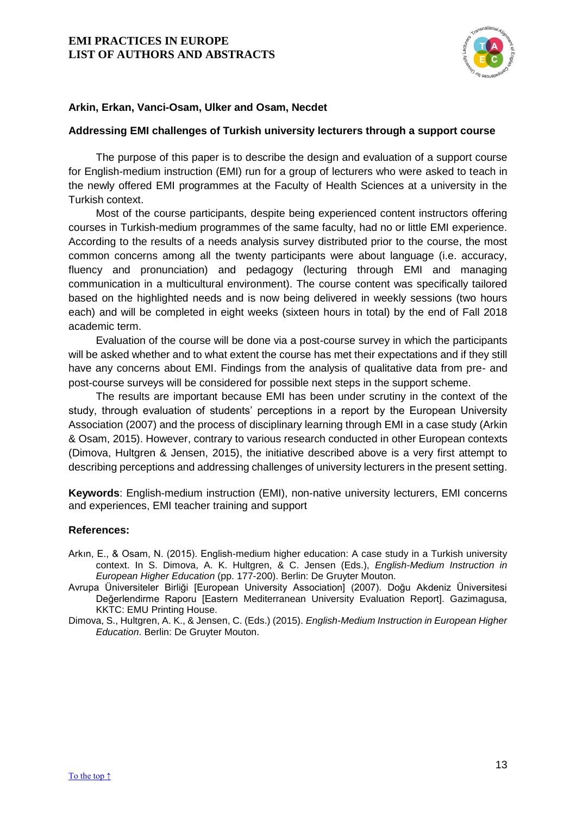

## **Arkin, Erkan, Vanci-Osam, Ulker and Osam, Necdet**

#### <span id="page-13-0"></span>**Addressing EMI challenges of Turkish university lecturers through a support course**

The purpose of this paper is to describe the design and evaluation of a support course for English-medium instruction (EMI) run for a group of lecturers who were asked to teach in the newly offered EMI programmes at the Faculty of Health Sciences at a university in the Turkish context.

Most of the course participants, despite being experienced content instructors offering courses in Turkish-medium programmes of the same faculty, had no or little EMI experience. According to the results of a needs analysis survey distributed prior to the course, the most common concerns among all the twenty participants were about language (i.e. accuracy, fluency and pronunciation) and pedagogy (lecturing through EMI and managing communication in a multicultural environment). The course content was specifically tailored based on the highlighted needs and is now being delivered in weekly sessions (two hours each) and will be completed in eight weeks (sixteen hours in total) by the end of Fall 2018 academic term.

Evaluation of the course will be done via a post-course survey in which the participants will be asked whether and to what extent the course has met their expectations and if they still have any concerns about EMI. Findings from the analysis of qualitative data from pre- and post-course surveys will be considered for possible next steps in the support scheme.

The results are important because EMI has been under scrutiny in the context of the study, through evaluation of students' perceptions in a report by the European University Association (2007) and the process of disciplinary learning through EMI in a case study (Arkin & Osam, 2015). However, contrary to various research conducted in other European contexts (Dimova, Hultgren & Jensen, 2015), the initiative described above is a very first attempt to describing perceptions and addressing challenges of university lecturers in the present setting.

**Keywords**: English-medium instruction (EMI), non-native university lecturers, EMI concerns and experiences, EMI teacher training and support

- Arkın, E., & Osam, N. (2015). English-medium higher education: A case study in a Turkish university context. In S. Dimova, A. K. Hultgren, & C. Jensen (Eds.), *English-Medium Instruction in European Higher Education* (pp. 177-200). Berlin: De Gruyter Mouton.
- Avrupa Üniversiteler Birliği [European University Association] (2007). Doğu Akdeniz Üniversitesi Değerlendirme Raporu [Eastern Mediterranean University Evaluation Report]. Gazimagusa, KKTC: EMU Printing House.
- Dimova, S., Hultgren, A. K., & Jensen, C. (Eds.) (2015). *English-Medium Instruction in European Higher Education*. Berlin: De Gruyter Mouton.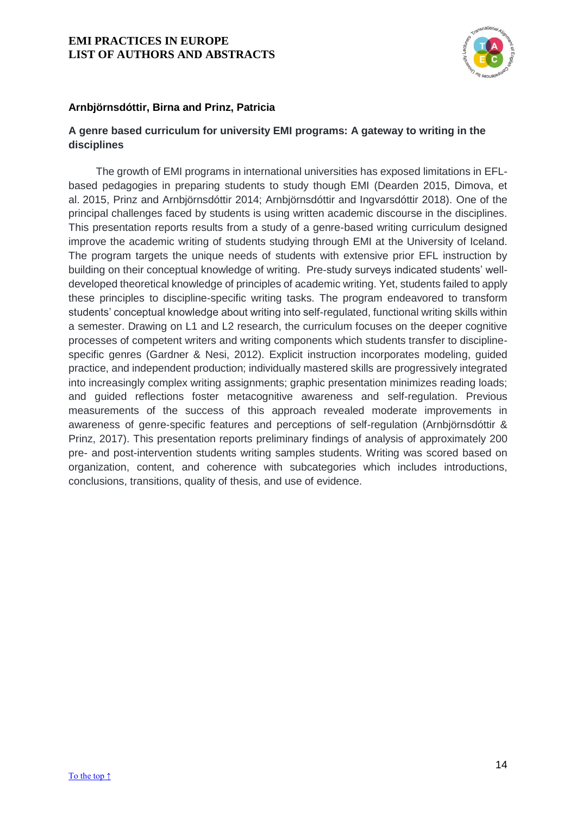

## **Arnbjörnsdóttir, Birna and Prinz, Patricia**

# <span id="page-14-0"></span>**A genre based curriculum for university EMI programs: A gateway to writing in the disciplines**

The growth of EMI programs in international universities has exposed limitations in EFLbased pedagogies in preparing students to study though EMI (Dearden 2015, Dimova, et al. 2015, Prinz and Arnbjörnsdóttir 2014; Arnbjörnsdóttir and Ingvarsdóttir 2018). One of the principal challenges faced by students is using written academic discourse in the disciplines. This presentation reports results from a study of a genre-based writing curriculum designed improve the academic writing of students studying through EMI at the University of Iceland. The program targets the unique needs of students with extensive prior EFL instruction by building on their conceptual knowledge of writing. Pre-study surveys indicated students' welldeveloped theoretical knowledge of principles of academic writing. Yet, students failed to apply these principles to discipline-specific writing tasks. The program endeavored to transform students' conceptual knowledge about writing into self-regulated, functional writing skills within a semester. Drawing on L1 and L2 research, the curriculum focuses on the deeper cognitive processes of competent writers and writing components which students transfer to disciplinespecific genres (Gardner & Nesi, 2012). Explicit instruction incorporates modeling, guided practice, and independent production; individually mastered skills are progressively integrated into increasingly complex writing assignments; graphic presentation minimizes reading loads; and guided reflections foster metacognitive awareness and self-regulation. Previous measurements of the success of this approach revealed moderate improvements in awareness of genre-specific features and perceptions of self-regulation (Arnbjörnsdóttir & Prinz, 2017). This presentation reports preliminary findings of analysis of approximately 200 pre- and post-intervention students writing samples students. Writing was scored based on organization, content, and coherence with subcategories which includes introductions, conclusions, transitions, quality of thesis, and use of evidence.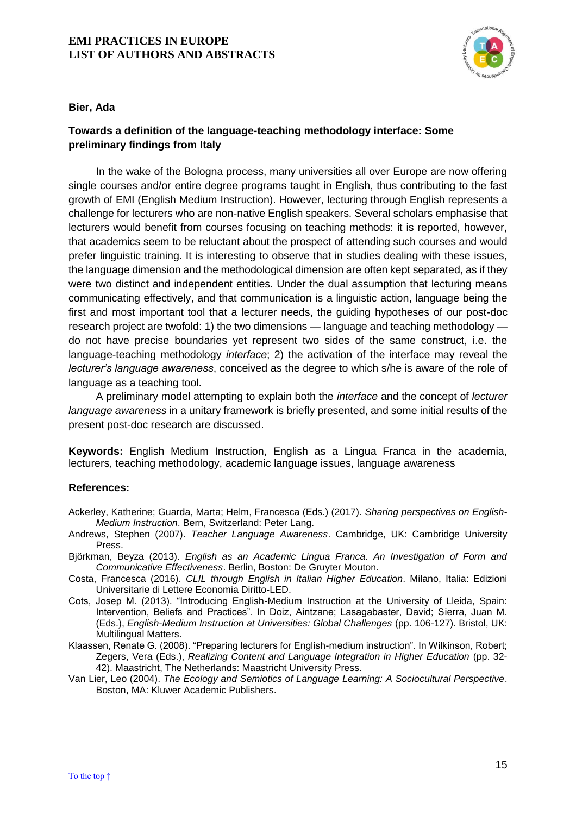

#### **Bier, Ada**

# <span id="page-15-0"></span>**Towards a definition of the language-teaching methodology interface: Some preliminary findings from Italy**

In the wake of the Bologna process, many universities all over Europe are now offering single courses and/or entire degree programs taught in English, thus contributing to the fast growth of EMI (English Medium Instruction). However, lecturing through English represents a challenge for lecturers who are non-native English speakers. Several scholars emphasise that lecturers would benefit from courses focusing on teaching methods: it is reported, however, that academics seem to be reluctant about the prospect of attending such courses and would prefer linguistic training. It is interesting to observe that in studies dealing with these issues, the language dimension and the methodological dimension are often kept separated, as if they were two distinct and independent entities. Under the dual assumption that lecturing means communicating effectively, and that communication is a linguistic action, language being the first and most important tool that a lecturer needs, the guiding hypotheses of our post-doc research project are twofold: 1) the two dimensions — language and teaching methodology do not have precise boundaries yet represent two sides of the same construct, i.e. the language-teaching methodology *interface*; 2) the activation of the interface may reveal the *lecturer's language awareness*, conceived as the degree to which s/he is aware of the role of language as a teaching tool.

A preliminary model attempting to explain both the *interface* and the concept of *lecturer language awareness* in a unitary framework is briefly presented, and some initial results of the present post-doc research are discussed.

**Keywords:** English Medium Instruction, English as a Lingua Franca in the academia, lecturers, teaching methodology, academic language issues, language awareness

- Ackerley, Katherine; Guarda, Marta; Helm, Francesca (Eds.) (2017). *Sharing perspectives on English-Medium Instruction*. Bern, Switzerland: Peter Lang.
- Andrews, Stephen (2007). *Teacher Language Awareness*. Cambridge, UK: Cambridge University Press.
- Björkman, Beyza (2013). *English as an Academic Lingua Franca. An Investigation of Form and Communicative Effectiveness*. Berlin, Boston: De Gruyter Mouton.
- Costa, Francesca (2016). *CLIL through English in Italian Higher Education*. Milano, Italia: Edizioni Universitarie di Lettere Economia Diritto-LED.
- Cots, Josep M. (2013). "Introducing English-Medium Instruction at the University of Lleida, Spain: Intervention, Beliefs and Practices". In Doiz, Aintzane; Lasagabaster, David; Sierra, Juan M. (Eds.), *English-Medium Instruction at Universities: Global Challenges* (pp. 106-127). Bristol, UK: Multilingual Matters.
- Klaassen, Renate G. (2008). "Preparing lecturers for English-medium instruction". In Wilkinson, Robert; Zegers, Vera (Eds.), *Realizing Content and Language Integration in Higher Education* (pp. 32-42). Maastricht, The Netherlands: Maastricht University Press.
- Van Lier, Leo (2004). *The Ecology and Semiotics of Language Learning: A Sociocultural Perspective*. Boston, MA: Kluwer Academic Publishers.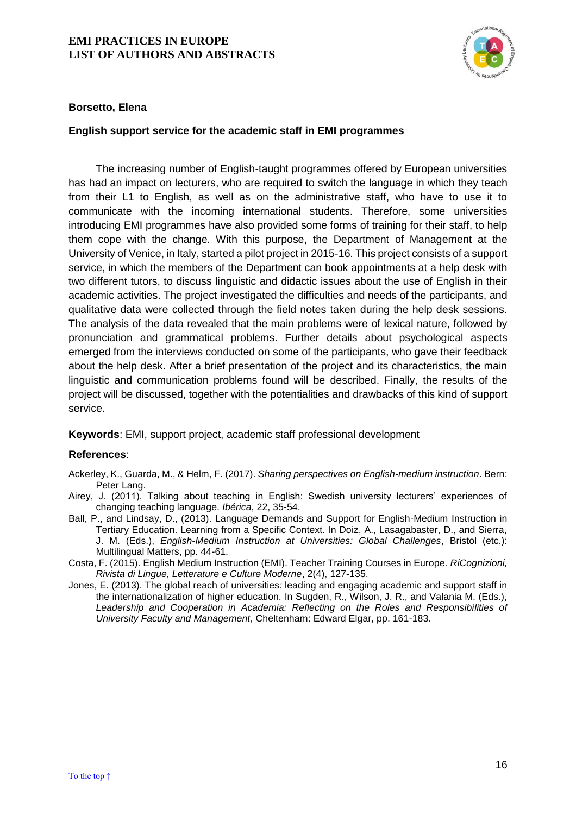

## **Borsetto, Elena**

## <span id="page-16-0"></span>**English support service for the academic staff in EMI programmes**

The increasing number of English-taught programmes offered by European universities has had an impact on lecturers, who are required to switch the language in which they teach from their L1 to English, as well as on the administrative staff, who have to use it to communicate with the incoming international students. Therefore, some universities introducing EMI programmes have also provided some forms of training for their staff, to help them cope with the change. With this purpose, the Department of Management at the University of Venice, in Italy, started a pilot project in 2015-16. This project consists of a support service, in which the members of the Department can book appointments at a help desk with two different tutors, to discuss linguistic and didactic issues about the use of English in their academic activities. The project investigated the difficulties and needs of the participants, and qualitative data were collected through the field notes taken during the help desk sessions. The analysis of the data revealed that the main problems were of lexical nature, followed by pronunciation and grammatical problems. Further details about psychological aspects emerged from the interviews conducted on some of the participants, who gave their feedback about the help desk. After a brief presentation of the project and its characteristics, the main linguistic and communication problems found will be described. Finally, the results of the project will be discussed, together with the potentialities and drawbacks of this kind of support service.

#### **Keywords**: EMI, support project, academic staff professional development

- Ackerley, K., Guarda, M., & Helm, F. (2017). *Sharing perspectives on English-medium instruction*. Bern: Peter Lang.
- Airey, J. (2011). Talking about teaching in English: Swedish university lecturers' experiences of changing teaching language. *Ibérica*, 22, 35-54.
- Ball, P., and Lindsay, D., (2013). Language Demands and Support for English-Medium Instruction in Tertiary Education. Learning from a Specific Context. In Doiz, A., Lasagabaster, D., and Sierra, J. M. (Eds.), *English-Medium Instruction at Universities: Global Challenges*, Bristol (etc.): Multilingual Matters, pp. 44-61.
- Costa, F. (2015). English Medium Instruction (EMI). Teacher Training Courses in Europe. *RiCognizioni, Rivista di Lingue, Letterature e Culture Moderne*, 2(4), 127-135.
- Jones, E. (2013). The global reach of universities*:* leading and engaging academic and support staff in the internationalization of higher education. In Sugden, R., Wilson, J. R., and Valania M. (Eds.), *Leadership and Cooperation in Academia: Reflecting on the Roles and Responsibilities of University Faculty and Management*, Cheltenham: Edward Elgar, pp. 161-183.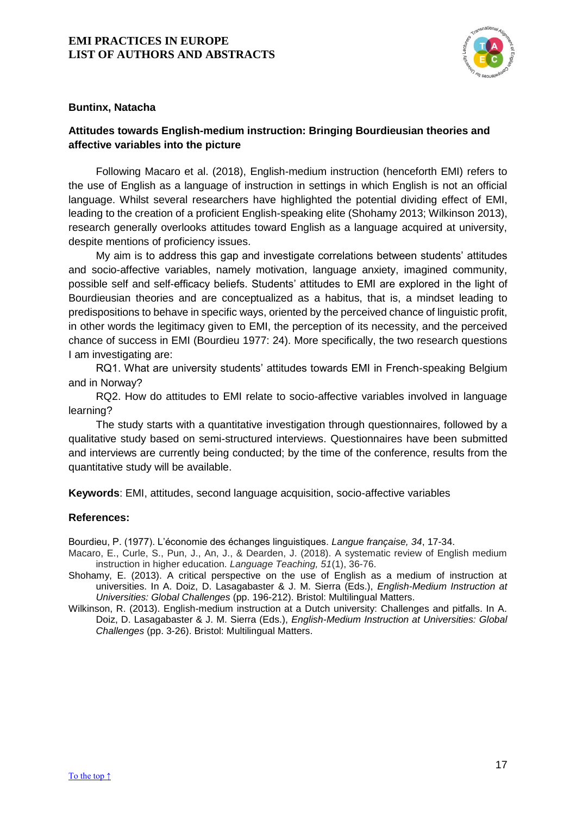

## **Buntinx, Natacha**

# <span id="page-17-0"></span>**Attitudes towards English-medium instruction: Bringing Bourdieusian theories and affective variables into the picture**

Following Macaro et al. (2018), English-medium instruction (henceforth EMI) refers to the use of English as a language of instruction in settings in which English is not an official language. Whilst several researchers have highlighted the potential dividing effect of EMI, leading to the creation of a proficient English-speaking elite (Shohamy 2013; Wilkinson 2013), research generally overlooks attitudes toward English as a language acquired at university, despite mentions of proficiency issues.

My aim is to address this gap and investigate correlations between students' attitudes and socio-affective variables, namely motivation, language anxiety, imagined community, possible self and self-efficacy beliefs. Students' attitudes to EMI are explored in the light of Bourdieusian theories and are conceptualized as a habitus, that is, a mindset leading to predispositions to behave in specific ways, oriented by the perceived chance of linguistic profit, in other words the legitimacy given to EMI, the perception of its necessity, and the perceived chance of success in EMI (Bourdieu 1977: 24). More specifically, the two research questions I am investigating are:

RQ1. What are university students' attitudes towards EMI in French-speaking Belgium and in Norway?

RQ2. How do attitudes to EMI relate to socio-affective variables involved in language learning?

The study starts with a quantitative investigation through questionnaires, followed by a qualitative study based on semi-structured interviews. Questionnaires have been submitted and interviews are currently being conducted; by the time of the conference, results from the quantitative study will be available.

**Keywords**: EMI, attitudes, second language acquisition, socio-affective variables

#### **References:**

Bourdieu, P. (1977). L'économie des échanges linguistiques. *Langue française, 34*, 17-34.

- Macaro, E., Curle, S., Pun, J., An, J., & Dearden, J. (2018). A systematic review of English medium instruction in higher education. *Language Teaching, 51*(1), 36-76.
- Shohamy, E. (2013). A critical perspective on the use of English as a medium of instruction at universities. In A. Doiz, D. Lasagabaster & J. M. Sierra (Eds.), *English-Medium Instruction at Universities: Global Challenges* (pp. 196-212). Bristol: Multilingual Matters.
- Wilkinson, R. (2013). English-medium instruction at a Dutch university: Challenges and pitfalls. In A. Doiz, D. Lasagabaster & J. M. Sierra (Eds.), *English-Medium Instruction at Universities: Global Challenges* (pp. 3-26). Bristol: Multilingual Matters.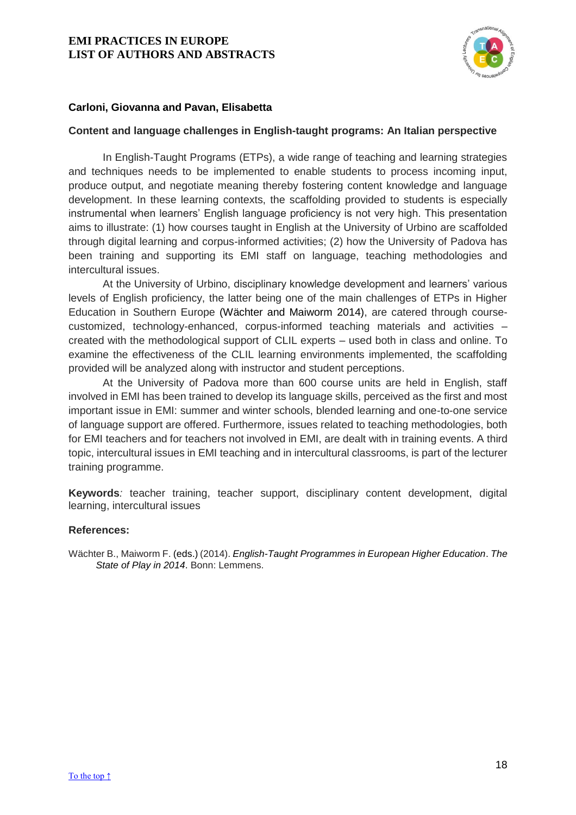

## **Carloni, Giovanna and Pavan, Elisabetta**

#### <span id="page-18-0"></span>**Content and language challenges in English-taught programs: An Italian perspective**

In English-Taught Programs (ETPs), a wide range of teaching and learning strategies and techniques needs to be implemented to enable students to process incoming input, produce output, and negotiate meaning thereby fostering content knowledge and language development. In these learning contexts, the scaffolding provided to students is especially instrumental when learners' English language proficiency is not very high. This presentation aims to illustrate: (1) how courses taught in English at the University of Urbino are scaffolded through digital learning and corpus-informed activities; (2) how the University of Padova has been training and supporting its EMI staff on language, teaching methodologies and intercultural issues.

At the University of Urbino, disciplinary knowledge development and learners' various levels of English proficiency, the latter being one of the main challenges of ETPs in Higher Education in Southern Europe (Wächter and Maiworm 2014), are catered through coursecustomized, technology-enhanced, corpus-informed teaching materials and activities – created with the methodological support of CLIL experts – used both in class and online. To examine the effectiveness of the CLIL learning environments implemented, the scaffolding provided will be analyzed along with instructor and student perceptions.

At the University of Padova more than 600 course units are held in English, staff involved in EMI has been trained to develop its language skills, perceived as the first and most important issue in EMI: summer and winter schools, blended learning and one-to-one service of language support are offered. Furthermore, issues related to teaching methodologies, both for EMI teachers and for teachers not involved in EMI, are dealt with in training events. A third topic, intercultural issues in EMI teaching and in intercultural classrooms, is part of the lecturer training programme.

**Keywords***:* teacher training, teacher support, disciplinary content development, digital learning, intercultural issues

#### **References:**

Wächter B., Maiworm F. (eds.) (2014). *English-Taught Programmes in European Higher Education*. *The State of Play in 2014*. Bonn: Lemmens.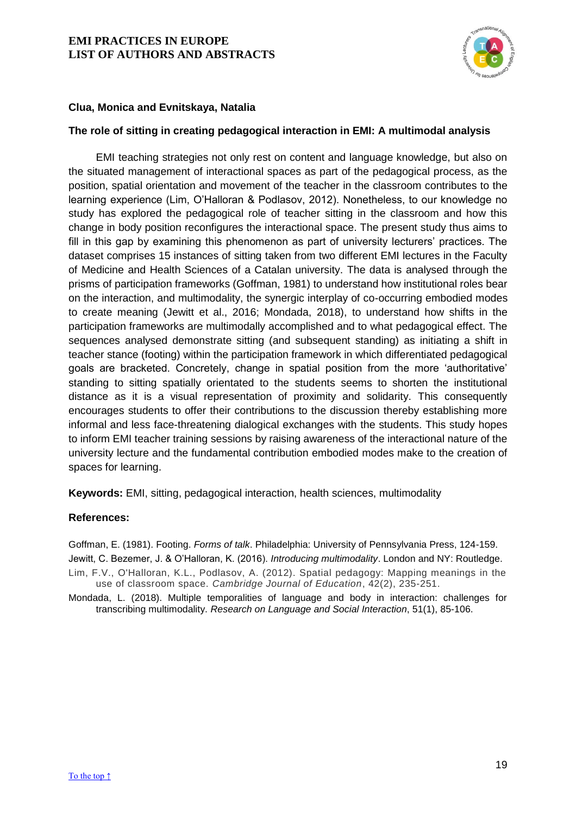

## **Clua, Monica and Evnitskaya, Natalia**

#### <span id="page-19-0"></span>**The role of sitting in creating pedagogical interaction in EMI: A multimodal analysis**

EMI teaching strategies not only rest on content and language knowledge, but also on the situated management of interactional spaces as part of the pedagogical process, as the position, spatial orientation and movement of the teacher in the classroom contributes to the learning experience (Lim, O'Halloran & Podlasov, 2012). Nonetheless, to our knowledge no study has explored the pedagogical role of teacher sitting in the classroom and how this change in body position reconfigures the interactional space. The present study thus aims to fill in this gap by examining this phenomenon as part of university lecturers' practices. The dataset comprises 15 instances of sitting taken from two different EMI lectures in the Faculty of Medicine and Health Sciences of a Catalan university. The data is analysed through the prisms of participation frameworks (Goffman, 1981) to understand how institutional roles bear on the interaction, and multimodality, the synergic interplay of co-occurring embodied modes to create meaning (Jewitt et al., 2016; Mondada, 2018), to understand how shifts in the participation frameworks are multimodally accomplished and to what pedagogical effect. The sequences analysed demonstrate sitting (and subsequent standing) as initiating a shift in teacher stance (footing) within the participation framework in which differentiated pedagogical goals are bracketed. Concretely, change in spatial position from the more 'authoritative' standing to sitting spatially orientated to the students seems to shorten the institutional distance as it is a visual representation of proximity and solidarity. This consequently encourages students to offer their contributions to the discussion thereby establishing more informal and less face-threatening dialogical exchanges with the students. This study hopes to inform EMI teacher training sessions by raising awareness of the interactional nature of the university lecture and the fundamental contribution embodied modes make to the creation of spaces for learning.

**Keywords:** EMI, sitting, pedagogical interaction, health sciences, multimodality

#### **References:**

Goffman, E. (1981). Footing. *Forms of talk*. Philadelphia: University of Pennsylvania Press, 124-159. Jewitt, C. Bezemer, J. & O'Halloran, K. (2016). *Introducing multimodality*. London and NY: Routledge.

Lim, F.V., O'Halloran, K.L., Podlasov, A. (2012). Spatial pedagogy: Mapping meanings in the use of classroom space. *Cambridge Journal of Education*, 42(2), 235-251.

Mondada, L. (2018). Multiple temporalities of language and body in interaction: challenges for transcribing multimodality. *Research on Language and Social Interaction*, 51(1), 85-106.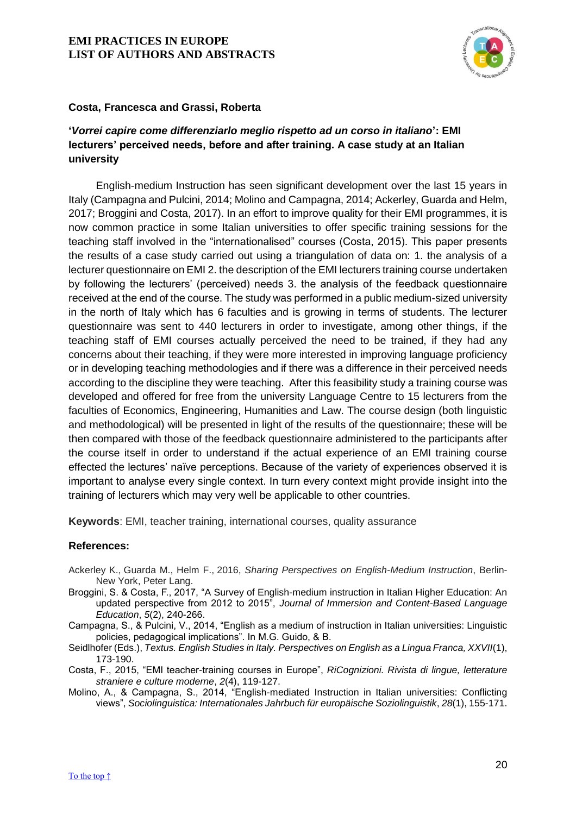

## **Costa, Francesca and Grassi, Roberta**

# <span id="page-20-0"></span>**'***Vorrei capire come differenziarlo meglio rispetto ad un corso in italiano***': EMI lecturers' perceived needs, before and after training. A case study at an Italian university**

English-medium Instruction has seen significant development over the last 15 years in Italy (Campagna and Pulcini, 2014; Molino and Campagna, 2014; Ackerley, Guarda and Helm, 2017; Broggini and Costa, 2017). In an effort to improve quality for their EMI programmes, it is now common practice in some Italian universities to offer specific training sessions for the teaching staff involved in the "internationalised" courses (Costa, 2015). This paper presents the results of a case study carried out using a triangulation of data on: 1. the analysis of a lecturer questionnaire on EMI 2. the description of the EMI lecturers training course undertaken by following the lecturers' (perceived) needs 3. the analysis of the feedback questionnaire received at the end of the course. The study was performed in a public medium-sized university in the north of Italy which has 6 faculties and is growing in terms of students. The lecturer questionnaire was sent to 440 lecturers in order to investigate, among other things, if the teaching staff of EMI courses actually perceived the need to be trained, if they had any concerns about their teaching, if they were more interested in improving language proficiency or in developing teaching methodologies and if there was a difference in their perceived needs according to the discipline they were teaching. After this feasibility study a training course was developed and offered for free from the university Language Centre to 15 lecturers from the faculties of Economics, Engineering, Humanities and Law. The course design (both linguistic and methodological) will be presented in light of the results of the questionnaire; these will be then compared with those of the feedback questionnaire administered to the participants after the course itself in order to understand if the actual experience of an EMI training course effected the lectures' naïve perceptions. Because of the variety of experiences observed it is important to analyse every single context. In turn every context might provide insight into the training of lecturers which may very well be applicable to other countries.

**Keywords**: EMI, teacher training, international courses, quality assurance

- Ackerley K., Guarda M., Helm F., 2016, *Sharing Perspectives on English-Medium Instruction*, Berlin-New York, Peter Lang.
- Broggini, S. & Costa, F., 2017, "A Survey of English-medium instruction in Italian Higher Education: An updated perspective from 2012 to 2015", *Journal of Immersion and Content-Based Language Education*, *5*(2), 240-266.
- Campagna, S., & Pulcini, V., 2014, "English as a medium of instruction in Italian universities: Linguistic policies, pedagogical implications". In M.G. Guido, & B.
- Seidlhofer (Eds.), *Textus. English Studies in Italy. Perspectives on English as a Lingua Franca, XXVII*(1), 173-190.
- Costa, F., 2015, "EMI teacher-training courses in Europe", *RiCognizioni. Rivista di lingue, letterature straniere e culture moderne*, *2*(4), 119-127.
- Molino, A., & Campagna, S., 2014, "English-mediated Instruction in Italian universities: Conflicting views", *Sociolinguistica: Internationales Jahrbuch für europäische Soziolinguistik*, *28*(1), 155-171.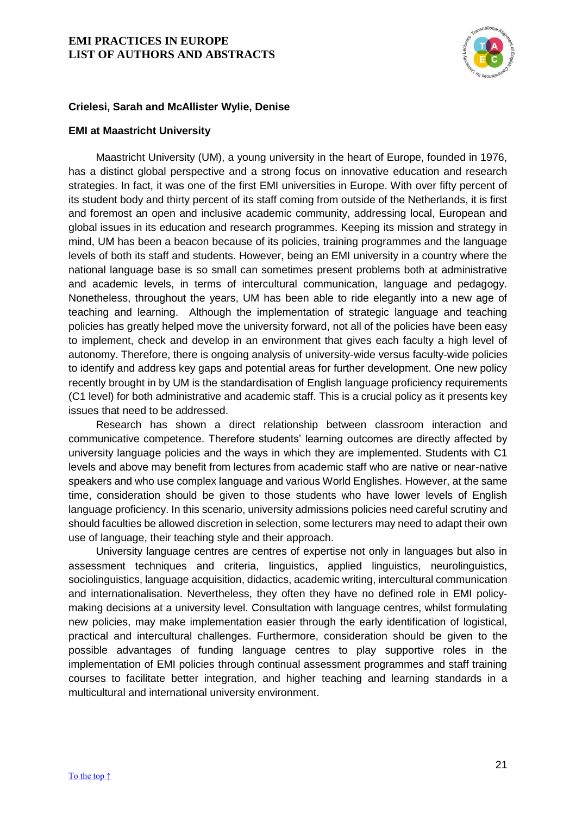

## **Crielesi, Sarah and McAllister Wylie, Denise**

#### <span id="page-21-0"></span>**EMI at Maastricht University**

Maastricht University (UM), a young university in the heart of Europe, founded in 1976, has a distinct global perspective and a strong focus on innovative education and research strategies. In fact, it was one of the first EMI universities in Europe. With over fifty percent of its student body and thirty percent of its staff coming from outside of the Netherlands, it is first and foremost an open and inclusive academic community, addressing local, European and global issues in its education and research programmes. Keeping its mission and strategy in mind, UM has been a beacon because of its policies, training programmes and the language levels of both its staff and students. However, being an EMI university in a country where the national language base is so small can sometimes present problems both at administrative and academic levels, in terms of intercultural communication, language and pedagogy. Nonetheless, throughout the years, UM has been able to ride elegantly into a new age of teaching and learning. Although the implementation of strategic language and teaching policies has greatly helped move the university forward, not all of the policies have been easy to implement, check and develop in an environment that gives each faculty a high level of autonomy. Therefore, there is ongoing analysis of university-wide versus faculty-wide policies to identify and address key gaps and potential areas for further development. One new policy recently brought in by UM is the standardisation of English language proficiency requirements (C1 level) for both administrative and academic staff. This is a crucial policy as it presents key issues that need to be addressed.

Research has shown a direct relationship between classroom interaction and communicative competence. Therefore students' learning outcomes are directly affected by university language policies and the ways in which they are implemented. Students with C1 levels and above may benefit from lectures from academic staff who are native or near-native speakers and who use complex language and various World Englishes. However, at the same time, consideration should be given to those students who have lower levels of English language proficiency. In this scenario, university admissions policies need careful scrutiny and should faculties be allowed discretion in selection, some lecturers may need to adapt their own use of language, their teaching style and their approach.

University language centres are centres of expertise not only in languages but also in assessment techniques and criteria, linguistics, applied linguistics, neurolinguistics, sociolinguistics, language acquisition, didactics, academic writing, intercultural communication and internationalisation. Nevertheless, they often they have no defined role in EMI policymaking decisions at a university level. Consultation with language centres, whilst formulating new policies, may make implementation easier through the early identification of logistical, practical and intercultural challenges. Furthermore, consideration should be given to the possible advantages of funding language centres to play supportive roles in the implementation of EMI policies through continual assessment programmes and staff training courses to facilitate better integration, and higher teaching and learning standards in a multicultural and international university environment.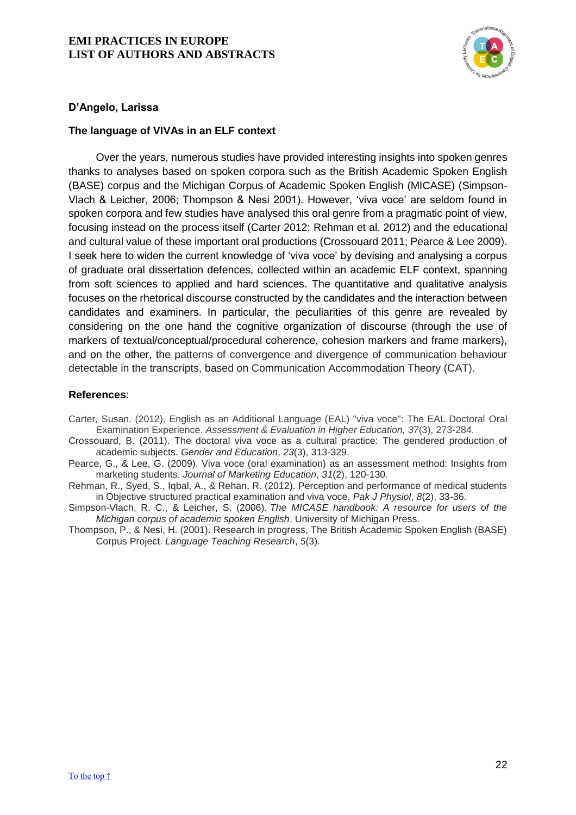

## **D'Angelo, Larissa**

## <span id="page-22-0"></span>**The language of VIVAs in an ELF context**

Over the years, numerous studies have provided interesting insights into spoken genres thanks to analyses based on spoken corpora such as the British Academic Spoken English (BASE) corpus and the Michigan Corpus of Academic Spoken English (MICASE) (Simpson-Vlach & Leicher, 2006; Thompson & Nesi 2001). However, 'viva voce' are seldom found in spoken corpora and few studies have analysed this oral genre from a pragmatic point of view, focusing instead on the process itself (Carter 2012; Rehman et al. 2012) and the educational and cultural value of these important oral productions (Crossouard 2011; Pearce & Lee 2009). I seek here to widen the current knowledge of 'viva voce' by devising and analysing a corpus of graduate oral dissertation defences, collected within an academic ELF context, spanning from soft sciences to applied and hard sciences. The quantitative and qualitative analysis focuses on the rhetorical discourse constructed by the candidates and the interaction between candidates and examiners. In particular, the peculiarities of this genre are revealed by considering on the one hand the cognitive organization of discourse (through the use of markers of textual/conceptual/procedural coherence, cohesion markers and frame markers), and on the other, the patterns of convergence and divergence of communication behaviour detectable in the transcripts, based on Communication Accommodation Theory (CAT).

- Carter, Susan. (2012). English as an Additional Language (EAL) "viva voce": The EAL Doctoral Oral Examination Experience. *Assessment & Evaluation in Higher Education, 37*(3), 273-284.
- Crossouard, B. (2011). The doctoral viva voce as a cultural practice: The gendered production of academic subjects. *Gender and Education*, *23*(3), 313-329.
- Pearce, G., & Lee, G. (2009). Viva voce (oral examination) as an assessment method: Insights from marketing students. *Journal of Marketing Education*, *31*(2), 120-130.
- Rehman, R., Syed, S., Iqbal, A., & Rehan, R. (2012). Perception and performance of medical students in Objective structured practical examination and viva voce. *Pak J Physiol*, *8*(2), 33-36.
- Simpson-Vlach, R. C., & Leicher, S. (2006). *The MICASE handbook: A resource for users of the Michigan corpus of academic spoken English*. University of Michigan Press.
- Thompson, P., & Nesi, H. (2001). Research in progress, The British Academic Spoken English (BASE) Corpus Project. *Language Teaching Research*, *5*(3).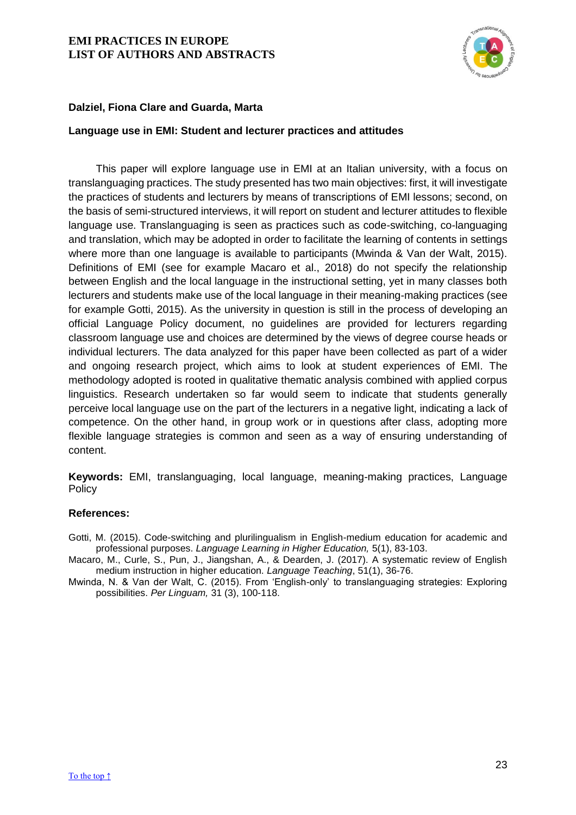

## **Dalziel, Fiona Clare and Guarda, Marta**

#### <span id="page-23-0"></span>**Language use in EMI: Student and lecturer practices and attitudes**

This paper will explore language use in EMI at an Italian university, with a focus on translanguaging practices. The study presented has two main objectives: first, it will investigate the practices of students and lecturers by means of transcriptions of EMI lessons; second, on the basis of semi-structured interviews, it will report on student and lecturer attitudes to flexible language use. Translanguaging is seen as practices such as code-switching, co-languaging and translation, which may be adopted in order to facilitate the learning of contents in settings where more than one language is available to participants (Mwinda & Van der Walt, 2015). Definitions of EMI (see for example Macaro et al., 2018) do not specify the relationship between English and the local language in the instructional setting, yet in many classes both lecturers and students make use of the local language in their meaning-making practices (see for example Gotti, 2015). As the university in question is still in the process of developing an official Language Policy document, no guidelines are provided for lecturers regarding classroom language use and choices are determined by the views of degree course heads or individual lecturers. The data analyzed for this paper have been collected as part of a wider and ongoing research project, which aims to look at student experiences of EMI. The methodology adopted is rooted in qualitative thematic analysis combined with applied corpus linguistics. Research undertaken so far would seem to indicate that students generally perceive local language use on the part of the lecturers in a negative light, indicating a lack of competence. On the other hand, in group work or in questions after class, adopting more flexible language strategies is common and seen as a way of ensuring understanding of content.

**Keywords:** EMI, translanguaging, local language, meaning-making practices, Language Policy

- Gotti, M. (2015). Code-switching and plurilingualism in English-medium education for academic and professional purposes. *Language Learning in Higher Education,* 5(1), 83-103.
- Macaro, M., Curle, S., Pun, J., Jiangshan, A., & Dearden, J. (2017). A systematic review of English medium instruction in higher education. *Language Teaching*, 51(1), 36-76.
- Mwinda, N. & Van der Walt, C. (2015). From 'English-only' to translanguaging strategies: Exploring possibilities. *Per Linguam,* 31 (3), 100-118.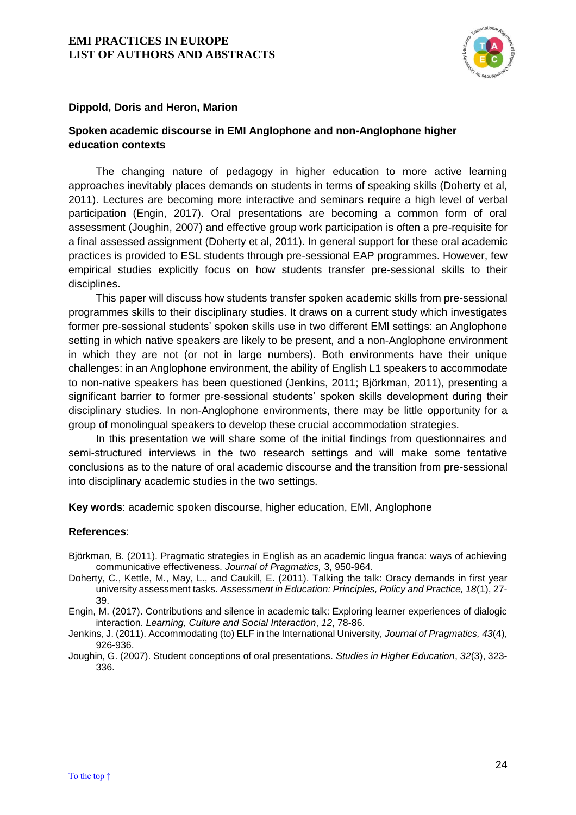

## **Dippold, Doris and Heron, Marion**

## <span id="page-24-0"></span>**Spoken academic discourse in EMI Anglophone and non-Anglophone higher education contexts**

The changing nature of pedagogy in higher education to more active learning approaches inevitably places demands on students in terms of speaking skills (Doherty et al, 2011). Lectures are becoming more interactive and seminars require a high level of verbal participation (Engin, 2017). Oral presentations are becoming a common form of oral assessment (Joughin, 2007) and effective group work participation is often a pre-requisite for a final assessed assignment (Doherty et al, 2011). In general support for these oral academic practices is provided to ESL students through pre-sessional EAP programmes. However, few empirical studies explicitly focus on how students transfer pre-sessional skills to their disciplines.

This paper will discuss how students transfer spoken academic skills from pre-sessional programmes skills to their disciplinary studies. It draws on a current study which investigates former pre-sessional students' spoken skills use in two different EMI settings: an Anglophone setting in which native speakers are likely to be present, and a non-Anglophone environment in which they are not (or not in large numbers). Both environments have their unique challenges: in an Anglophone environment, the ability of English L1 speakers to accommodate to non-native speakers has been questioned (Jenkins, 2011; Björkman, 2011), presenting a significant barrier to former pre-sessional students' spoken skills development during their disciplinary studies. In non-Anglophone environments, there may be little opportunity for a group of monolingual speakers to develop these crucial accommodation strategies.

In this presentation we will share some of the initial findings from questionnaires and semi-structured interviews in the two research settings and will make some tentative conclusions as to the nature of oral academic discourse and the transition from pre-sessional into disciplinary academic studies in the two settings.

**Key words**: academic spoken discourse, higher education, EMI, Anglophone

#### **References**:

- Björkman, B. (2011). Pragmatic strategies in English as an academic lingua franca: ways of achieving communicative effectiveness. *Journal of Pragmatics,* 3, 950-964.
- Doherty, C., Kettle, M., May, L., and Caukill, E. (2011). Talking the talk: Oracy demands in first year university assessment tasks. *Assessment in Education: Principles, Policy and Practice, 18*(1), 27- 39.

Engin, M. (2017). Contributions and silence in academic talk: Exploring learner experiences of dialogic interaction. *Learning, Culture and Social Interaction*, *12*, 78-86.

Jenkins, J. (2011). Accommodating (to) ELF in the International University, *Journal of Pragmatics, 43*(4), 926-936.

Joughin, G. (2007). Student conceptions of oral presentations. *Studies in Higher Education*, *32*(3), 323- 336.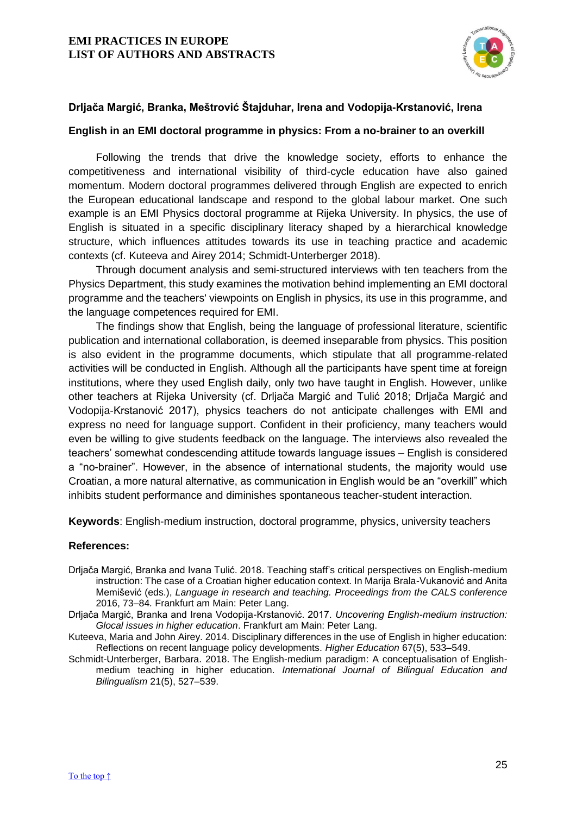

## **Drljača Margić, Branka, Meštrović Štajduhar, Irena and Vodopija-Krstanović, Irena**

## <span id="page-25-0"></span>**English in an EMI doctoral programme in physics: From a no-brainer to an overkill**

Following the trends that drive the knowledge society, efforts to enhance the competitiveness and international visibility of third-cycle education have also gained momentum. Modern doctoral programmes delivered through English are expected to enrich the European educational landscape and respond to the global labour market. One such example is an EMI Physics doctoral programme at Rijeka University. In physics, the use of English is situated in a specific disciplinary literacy shaped by a hierarchical knowledge structure, which influences attitudes towards its use in teaching practice and academic contexts (cf. Kuteeva and Airey 2014; Schmidt-Unterberger 2018).

Through document analysis and semi-structured interviews with ten teachers from the Physics Department, this study examines the motivation behind implementing an EMI doctoral programme and the teachers' viewpoints on English in physics, its use in this programme, and the language competences required for EMI.

The findings show that English, being the language of professional literature, scientific publication and international collaboration, is deemed inseparable from physics. This position is also evident in the programme documents, which stipulate that all programme-related activities will be conducted in English. Although all the participants have spent time at foreign institutions, where they used English daily, only two have taught in English. However, unlike other teachers at Rijeka University (cf. Drljača Margić and Tulić 2018; Drljača Margić and Vodopija-Krstanović 2017), physics teachers do not anticipate challenges with EMI and express no need for language support. Confident in their proficiency, many teachers would even be willing to give students feedback on the language. The interviews also revealed the teachers' somewhat condescending attitude towards language issues – English is considered a "no-brainer". However, in the absence of international students, the majority would use Croatian, a more natural alternative, as communication in English would be an "overkill" which inhibits student performance and diminishes spontaneous teacher-student interaction.

**Keywords**: English-medium instruction, doctoral programme, physics, university teachers

- Drljača Margić, Branka and Ivana Tulić. 2018. Teaching staff's critical perspectives on English-medium instruction: The case of a Croatian higher education context. In Marija Brala-Vukanović and Anita Memišević (eds.), *Language in research and teaching. Proceedings from the CALS conference*  2016, 73–84*.* Frankfurt am Main: Peter Lang.
- Drljača Margić, Branka and Irena Vodopija-Krstanović. 2017. *Uncovering English-medium instruction: Glocal issues in higher education*. Frankfurt am Main: Peter Lang.
- Kuteeva, Maria and John Airey. 2014. Disciplinary differences in the use of English in higher education: Reflections on recent language policy developments. *Higher Education* 67(5), 533–549.
- Schmidt-Unterberger, Barbara. 2018. The English-medium paradigm: A conceptualisation of Englishmedium teaching in higher education. *International Journal of Bilingual Education and Bilingualism* 21(5), 527–539.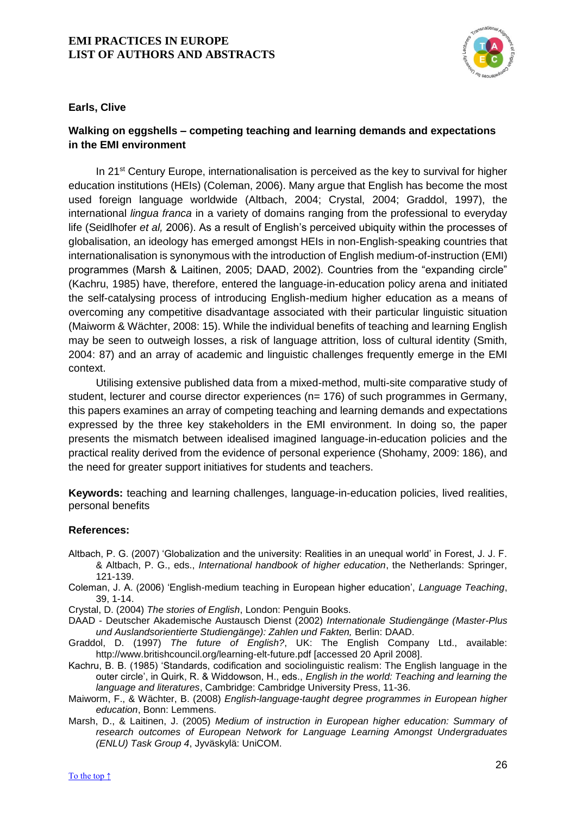

## **Earls, Clive**

# <span id="page-26-0"></span>**Walking on eggshells – competing teaching and learning demands and expectations in the EMI environment**

In 21<sup>st</sup> Century Europe, internationalisation is perceived as the key to survival for higher education institutions (HEIs) (Coleman, 2006). Many argue that English has become the most used foreign language worldwide (Altbach, 2004; Crystal, 2004; Graddol, 1997), the international *lingua franca* in a variety of domains ranging from the professional to everyday life (Seidlhofer *et al,* 2006). As a result of English's perceived ubiquity within the processes of globalisation, an ideology has emerged amongst HEIs in non-English-speaking countries that internationalisation is synonymous with the introduction of English medium-of-instruction (EMI) programmes (Marsh & Laitinen, 2005; DAAD, 2002). Countries from the "expanding circle" (Kachru, 1985) have, therefore, entered the language-in-education policy arena and initiated the self-catalysing process of introducing English-medium higher education as a means of overcoming any competitive disadvantage associated with their particular linguistic situation (Maiworm & Wächter, 2008: 15). While the individual benefits of teaching and learning English may be seen to outweigh losses, a risk of language attrition, loss of cultural identity (Smith, 2004: 87) and an array of academic and linguistic challenges frequently emerge in the EMI context.

Utilising extensive published data from a mixed-method, multi-site comparative study of student, lecturer and course director experiences (n= 176) of such programmes in Germany, this papers examines an array of competing teaching and learning demands and expectations expressed by the three key stakeholders in the EMI environment. In doing so, the paper presents the mismatch between idealised imagined language-in-education policies and the practical reality derived from the evidence of personal experience (Shohamy, 2009: 186), and the need for greater support initiatives for students and teachers.

**Keywords:** teaching and learning challenges, language-in-education policies, lived realities, personal benefits

- Altbach, P. G. (2007) 'Globalization and the university: Realities in an unequal world' in Forest, J. J. F. & Altbach, P. G., eds., *International handbook of higher education*, the Netherlands: Springer, 121-139.
- Coleman, J. A. (2006) 'English-medium teaching in European higher education', *Language Teaching*, 39, 1-14.
- Crystal, D. (2004) *The stories of English*, London: Penguin Books.
- DAAD Deutscher Akademische Austausch Dienst (2002) *Internationale Studiengänge (Master-Plus und Auslandsorientierte Studiengänge): Zahlen und Fakten,* Berlin: DAAD.
- Graddol, D. (1997) *The future of English?*, UK: The English Company Ltd., available: http://www.britishcouncil.org/learning-elt-future.pdf [accessed 20 April 2008].
- Kachru, B. B. (1985) 'Standards, codification and sociolinguistic realism: The English language in the outer circle', in Quirk, R. & Widdowson, H., eds., *English in the world: Teaching and learning the language and literatures*, Cambridge: Cambridge University Press, 11-36.
- Maiworm, F., & Wächter, B. (2008) *English-language-taught degree programmes in European higher education*, Bonn: Lemmens.
- Marsh, D., & Laitinen, J. (2005) *Medium of instruction in European higher education: Summary of research outcomes of European Network for Language Learning Amongst Undergraduates (ENLU) Task Group 4*, Jyväskylä: UniCOM.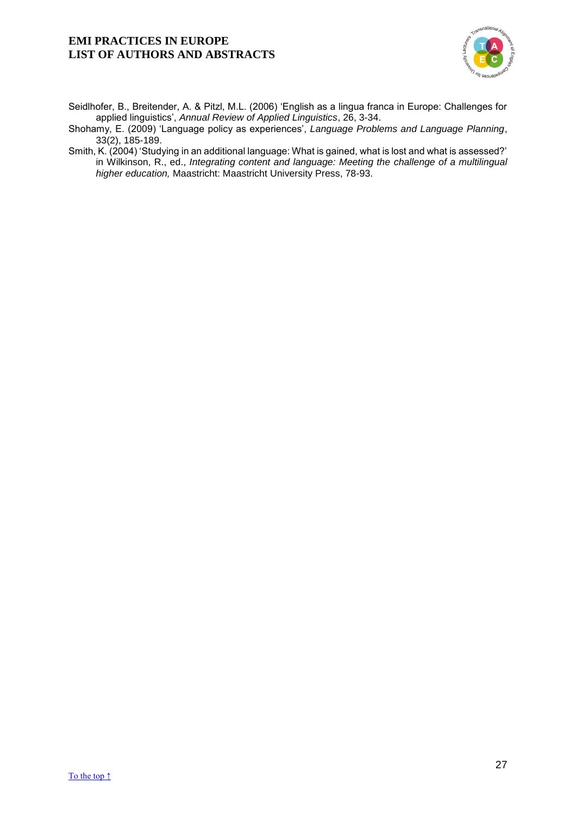

Seidlhofer, B., Breitender, A. & Pitzl, M.L. (2006) 'English as a lingua franca in Europe: Challenges for applied linguistics', *Annual Review of Applied Linguistics*, 26, 3-34.

Shohamy, E. (2009) 'Language policy as experiences', *Language Problems and Language Planning*, 33(2), 185-189.

Smith, K. (2004) 'Studying in an additional language: What is gained, what is lost and what is assessed?' in Wilkinson, R., ed., *Integrating content and language: Meeting the challenge of a multilingual higher education,* Maastricht: Maastricht University Press, 78-93.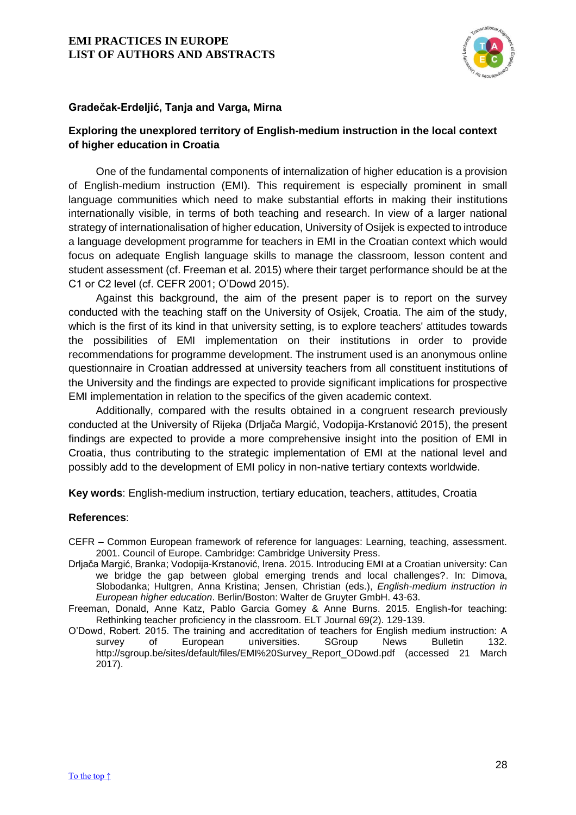

## **Gradečak-Erdeljić, Tanja and Varga, Mirna**

## <span id="page-28-0"></span>**Exploring the unexplored territory of English-medium instruction in the local context of higher education in Croatia**

One of the fundamental components of internalization of higher education is a provision of English-medium instruction (EMI). This requirement is especially prominent in small language communities which need to make substantial efforts in making their institutions internationally visible, in terms of both teaching and research. In view of a larger national strategy of internationalisation of higher education, University of Osijek is expected to introduce a language development programme for teachers in EMI in the Croatian context which would focus on adequate English language skills to manage the classroom, lesson content and student assessment (cf. Freeman et al. 2015) where their target performance should be at the C1 or C2 level (cf. CEFR 2001; O'Dowd 2015).

Against this background, the aim of the present paper is to report on the survey conducted with the teaching staff on the University of Osijek, Croatia. The aim of the study, which is the first of its kind in that university setting, is to explore teachers' attitudes towards the possibilities of EMI implementation on their institutions in order to provide recommendations for programme development. The instrument used is an anonymous online questionnaire in Croatian addressed at university teachers from all constituent institutions of the University and the findings are expected to provide significant implications for prospective EMI implementation in relation to the specifics of the given academic context.

Additionally, compared with the results obtained in a congruent research previously conducted at the University of Rijeka (Drljača Margić, Vodopija-Krstanović 2015), the present findings are expected to provide a more comprehensive insight into the position of EMI in Croatia, thus contributing to the strategic implementation of EMI at the national level and possibly add to the development of EMI policy in non-native tertiary contexts worldwide.

**Key words**: English-medium instruction, tertiary education, teachers, attitudes, Croatia

- CEFR Common European framework of reference for languages: Learning, teaching, assessment. 2001. Council of Europe. Cambridge: Cambridge University Press.
- Drljača Margić, Branka; Vodopija-Krstanović, Irena. 2015. [Introducing EMI at a Croatian university: Can](http://bib.irb.hr/prikazi-rad?&rad=838782)  [we bridge the gap between global emerging trends and local challenges?.](http://bib.irb.hr/prikazi-rad?&rad=838782) In: Dimova, Slobodanka; Hultgren, Anna Kristina; Jensen, Christian (eds.), *English-medium instruction in European higher education*. Berlin/Boston: Walter de Gruyter GmbH. 43-63.
- Freeman, Donald, Anne Katz, Pablo Garcia Gomey & Anne Burns. 2015. English-for teaching: Rethinking teacher proficiency in the classroom. ELT Journal 69(2). 129-139.
- O'Dowd, Robert. 2015. The training and accreditation of teachers for English medium instruction: A survey of European universities. SGroup News Bulletin 132. http://sgroup.be/sites/default/files/EMI%20Survey\_Report\_ODowd.pdf (accessed 21 March 2017).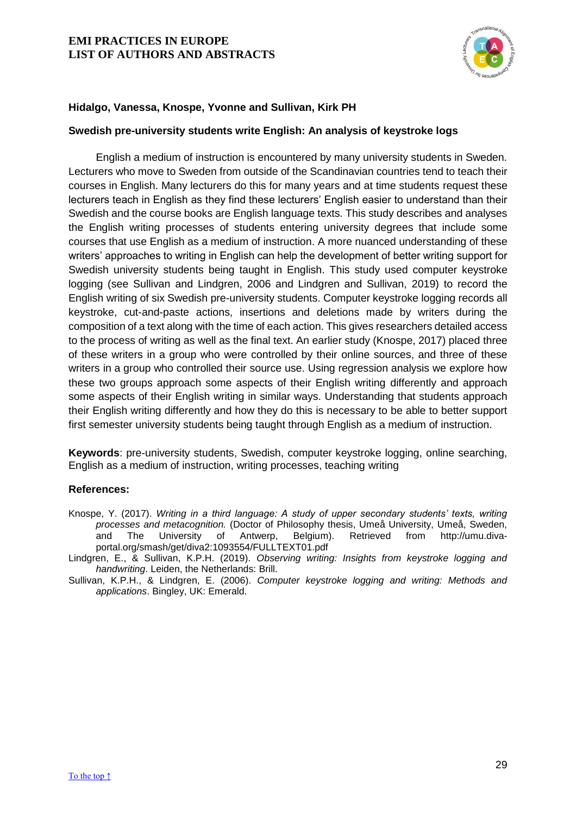

## **Hidalgo, Vanessa, Knospe, Yvonne and Sullivan, Kirk PH**

## <span id="page-29-0"></span>**Swedish pre-university students write English: An analysis of keystroke logs**

English a medium of instruction is encountered by many university students in Sweden. Lecturers who move to Sweden from outside of the Scandinavian countries tend to teach their courses in English. Many lecturers do this for many years and at time students request these lecturers teach in English as they find these lecturers' English easier to understand than their Swedish and the course books are English language texts. This study describes and analyses the English writing processes of students entering university degrees that include some courses that use English as a medium of instruction. A more nuanced understanding of these writers' approaches to writing in English can help the development of better writing support for Swedish university students being taught in English. This study used computer keystroke logging (see Sullivan and Lindgren, 2006 and Lindgren and Sullivan, 2019) to record the English writing of six Swedish pre-university students. Computer keystroke logging records all keystroke, cut-and-paste actions, insertions and deletions made by writers during the composition of a text along with the time of each action. This gives researchers detailed access to the process of writing as well as the final text. An earlier study (Knospe, 2017) placed three of these writers in a group who were controlled by their online sources, and three of these writers in a group who controlled their source use. Using regression analysis we explore how these two groups approach some aspects of their English writing differently and approach some aspects of their English writing in similar ways. Understanding that students approach their English writing differently and how they do this is necessary to be able to better support first semester university students being taught through English as a medium of instruction.

**Keywords**: pre-university students, Swedish, computer keystroke logging, online searching, English as a medium of instruction, writing processes, teaching writing

#### **References:**

Knospe, Y. (2017). *Writing in a third language: A study of upper secondary students' texts, writing processes and metacognition.* (Doctor of Philosophy thesis, Umeå University, Umeå, Sweden, and The University of Antwerp, Belgium). Retrieved from http://umu.divaportal.org/smash/get/diva2:1093554/FULLTEXT01.pdf

Lindgren, E., & Sullivan, K.P.H. (2019). *Observing writing: Insights from keystroke logging and handwriting*. Leiden, the Netherlands: Brill.

Sullivan, K.P.H., & Lindgren, E. (2006). *Computer keystroke logging and writing: Methods and applications*. Bingley, UK: Emerald.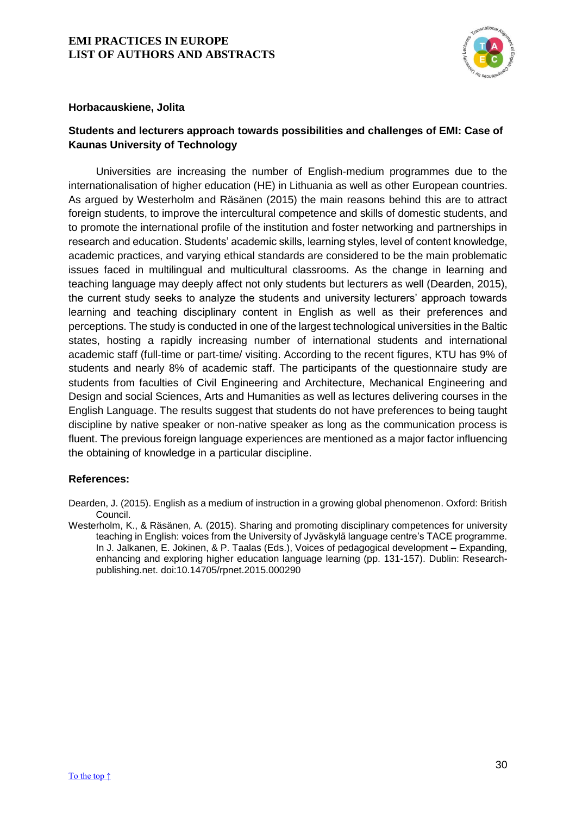

## **Horbacauskiene, Jolita**

# <span id="page-30-0"></span>**Students and lecturers approach towards possibilities and challenges of EMI: Case of Kaunas University of Technology**

Universities are increasing the number of English-medium programmes due to the internationalisation of higher education (HE) in Lithuania as well as other European countries. As argued by Westerholm and Räsänen (2015) the main reasons behind this are to attract foreign students, to improve the intercultural competence and skills of domestic students, and to promote the international profile of the institution and foster networking and partnerships in research and education. Students' academic skills, learning styles, level of content knowledge, academic practices, and varying ethical standards are considered to be the main problematic issues faced in multilingual and multicultural classrooms. As the change in learning and teaching language may deeply affect not only students but lecturers as well (Dearden, 2015), the current study seeks to analyze the students and university lecturers' approach towards learning and teaching disciplinary content in English as well as their preferences and perceptions. The study is conducted in one of the largest technological universities in the Baltic states, hosting a rapidly increasing number of international students and international academic staff (full-time or part-time/ visiting. According to the recent figures, KTU has 9% of students and nearly 8% of academic staff. The participants of the questionnaire study are students from faculties of Civil Engineering and Architecture, Mechanical Engineering and Design and social Sciences, Arts and Humanities as well as lectures delivering courses in the English Language. The results suggest that students do not have preferences to being taught discipline by native speaker or non-native speaker as long as the communication process is fluent. The previous foreign language experiences are mentioned as a major factor influencing the obtaining of knowledge in a particular discipline.

## **References:**

Dearden, J. (2015). English as a medium of instruction in a growing global phenomenon. Oxford: British Council.

Westerholm, K., & Räsänen, A. (2015). Sharing and promoting disciplinary competences for university teaching in English: voices from the University of Jyväskylä language centre's TACE programme. In J. Jalkanen, E. Jokinen, & P. Taalas (Eds.), Voices of pedagogical development – Expanding, enhancing and exploring higher education language learning (pp. 131-157). Dublin: Researchpublishing.net. doi:10.14705/rpnet.2015.000290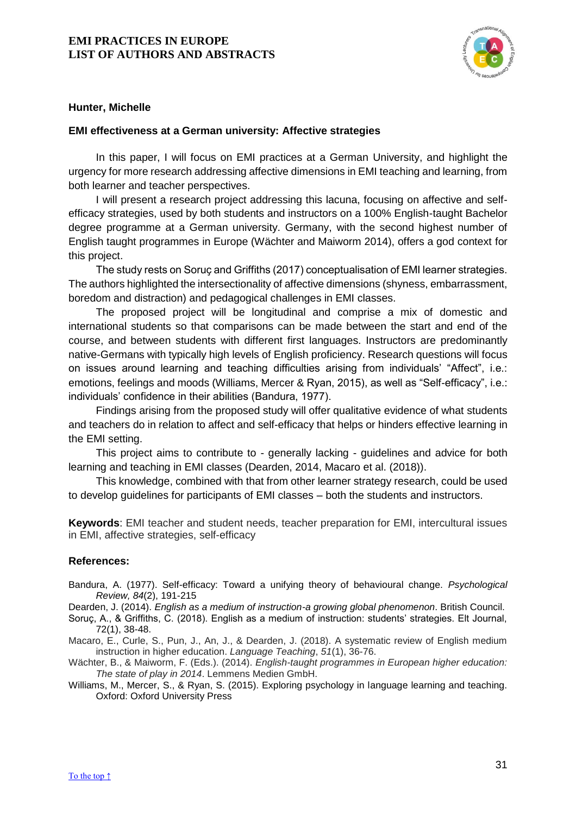

## **Hunter, Michelle**

#### <span id="page-31-0"></span>**EMI effectiveness at a German university: Affective strategies**

In this paper, I will focus on EMI practices at a German University, and highlight the urgency for more research addressing affective dimensions in EMI teaching and learning, from both learner and teacher perspectives.

I will present a research project addressing this lacuna, focusing on affective and selfefficacy strategies, used by both students and instructors on a 100% English-taught Bachelor degree programme at a German university. Germany, with the second highest number of English taught programmes in Europe (Wächter and Maiworm 2014), offers a god context for this project.

The study rests on Soruç and Griffiths (2017) conceptualisation of EMI learner strategies. The authors highlighted the intersectionality of affective dimensions (shyness, embarrassment, boredom and distraction) and pedagogical challenges in EMI classes.

The proposed project will be longitudinal and comprise a mix of domestic and international students so that comparisons can be made between the start and end of the course, and between students with different first languages. Instructors are predominantly native-Germans with typically high levels of English proficiency. Research questions will focus on issues around learning and teaching difficulties arising from individuals' "Affect", i.e.: emotions, feelings and moods (Williams, Mercer & Ryan, 2015), as well as "Self-efficacy", i.e.: individuals' confidence in their abilities (Bandura, 1977).

Findings arising from the proposed study will offer qualitative evidence of what students and teachers do in relation to affect and self-efficacy that helps or hinders effective learning in the EMI setting.

This project aims to contribute to - generally lacking - guidelines and advice for both learning and teaching in EMI classes (Dearden, 2014, Macaro et al. (2018)).

This knowledge, combined with that from other learner strategy research, could be used to develop guidelines for participants of EMI classes – both the students and instructors.

**Keywords**: EMI teacher and student needs, teacher preparation for EMI, intercultural issues in EMI, affective strategies, self-efficacy

#### **References:**

Bandura, A. (1977). Self-efficacy: Toward a unifying theory of behavioural change. *Psychological Review, 84*(2), 191-215

Dearden, J. (2014). *English as a medium of instruction-a growing global phenomenon*. British Council.

Soruç, A., & Griffiths, C. (2018). English as a medium of instruction: students' strategies. Elt Journal, 72(1), 38-48.

Macaro, E., Curle, S., Pun, J., An, J., & Dearden, J. (2018). A systematic review of English medium instruction in higher education. *Language Teaching*, *51*(1), 36-76.

Wächter, B., & Maiworm, F. (Eds.). (2014). *English-taught programmes in European higher education: The state of play in 2014*. Lemmens Medien GmbH.

Williams, M., Mercer, S., & Ryan, S. (2015). Exploring psychology in language learning and teaching. Oxford: Oxford University Press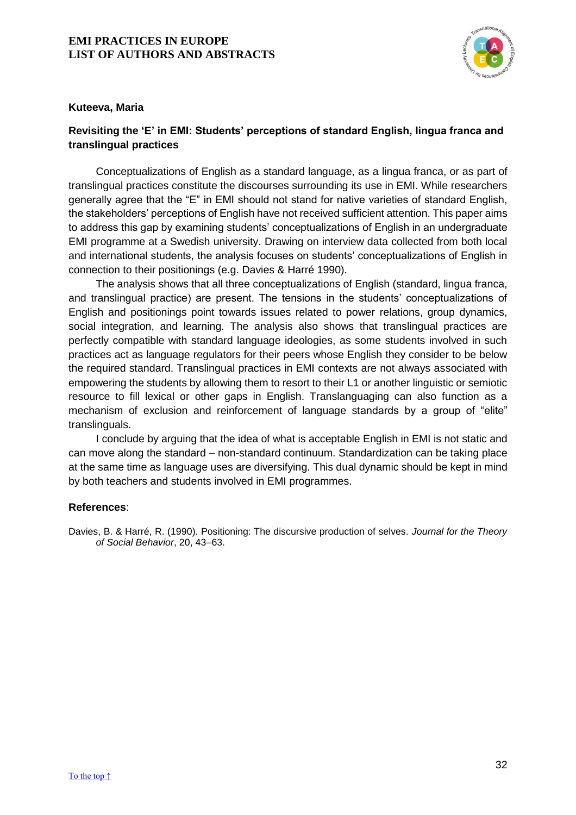

## **Kuteeva, Maria**

# <span id="page-32-0"></span>**Revisiting the 'E' in EMI: Students' perceptions of standard English, lingua franca and translingual practices**

Conceptualizations of English as a standard language, as a lingua franca, or as part of translingual practices constitute the discourses surrounding its use in EMI. While researchers generally agree that the "E" in EMI should not stand for native varieties of standard English, the stakeholders' perceptions of English have not received sufficient attention. This paper aims to address this gap by examining students' conceptualizations of English in an undergraduate EMI programme at a Swedish university. Drawing on interview data collected from both local and international students, the analysis focuses on students' conceptualizations of English in connection to their positionings (e.g. Davies & Harré 1990).

The analysis shows that all three conceptualizations of English (standard, lingua franca, and translingual practice) are present. The tensions in the students' conceptualizations of English and positionings point towards issues related to power relations, group dynamics, social integration, and learning. The analysis also shows that translingual practices are perfectly compatible with standard language ideologies, as some students involved in such practices act as language regulators for their peers whose English they consider to be below the required standard. Translingual practices in EMI contexts are not always associated with empowering the students by allowing them to resort to their L1 or another linguistic or semiotic resource to fill lexical or other gaps in English. Translanguaging can also function as a mechanism of exclusion and reinforcement of language standards by a group of "elite" translinguals.

I conclude by arguing that the idea of what is acceptable English in EMI is not static and can move along the standard – non-standard continuum. Standardization can be taking place at the same time as language uses are diversifying. This dual dynamic should be kept in mind by both teachers and students involved in EMI programmes.

#### **References**:

Davies, B. & Harré, R. (1990). Positioning: The discursive production of selves. *Journal for the Theory of Social Behavior*, 20, 43–63.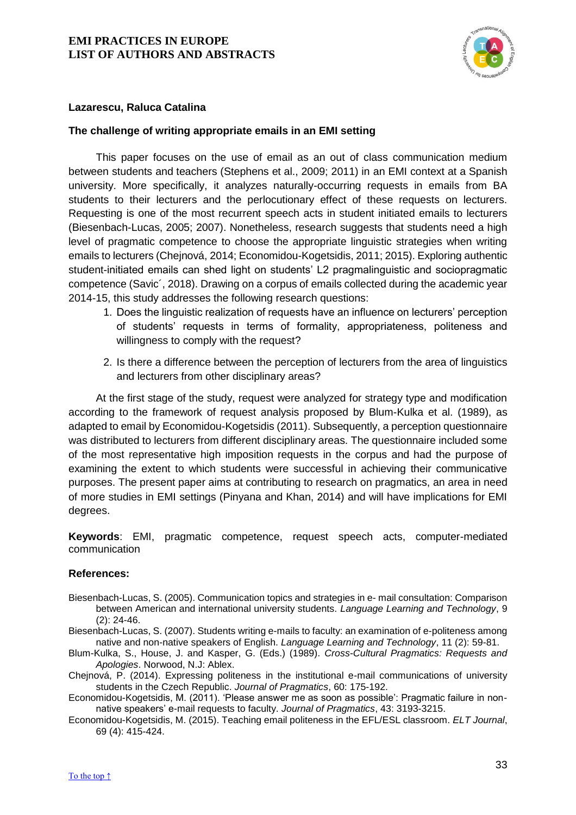

## **Lazarescu, Raluca Catalina**

## <span id="page-33-0"></span>**The challenge of writing appropriate emails in an EMI setting**

This paper focuses on the use of email as an out of class communication medium between students and teachers (Stephens et al., 2009; 2011) in an EMI context at a Spanish university. More specifically, it analyzes naturally-occurring requests in emails from BA students to their lecturers and the perlocutionary effect of these requests on lecturers. Requesting is one of the most recurrent speech acts in student initiated emails to lecturers (Biesenbach-Lucas, 2005; 2007). Nonetheless, research suggests that students need a high level of pragmatic competence to choose the appropriate linguistic strategies when writing emails to lecturers (Chejnová, 2014; Economidou-Kogetsidis, 2011; 2015). Exploring authentic student-initiated emails can shed light on students' L2 pragmalinguistic and sociopragmatic competence (Savic´, 2018). Drawing on a corpus of emails collected during the academic year 2014-15, this study addresses the following research questions:

- 1. Does the linguistic realization of requests have an influence on lecturers' perception of students' requests in terms of formality, appropriateness, politeness and willingness to comply with the request?
- 2. Is there a difference between the perception of lecturers from the area of linguistics and lecturers from other disciplinary areas?

At the first stage of the study, request were analyzed for strategy type and modification according to the framework of request analysis proposed by Blum-Kulka et al. (1989), as adapted to email by Economidou-Kogetsidis (2011). Subsequently, a perception questionnaire was distributed to lecturers from different disciplinary areas. The questionnaire included some of the most representative high imposition requests in the corpus and had the purpose of examining the extent to which students were successful in achieving their communicative purposes. The present paper aims at contributing to research on pragmatics, an area in need of more studies in EMI settings (Pinyana and Khan, 2014) and will have implications for EMI degrees.

**Keywords**: EMI, pragmatic competence, request speech acts, computer-mediated communication

- Biesenbach-Lucas, S. (2005). Communication topics and strategies in e- mail consultation: Comparison between American and international university students. *Language Learning and Technology*, 9 (2): 24-46.
- Biesenbach-Lucas, S. (2007). Students writing e-mails to faculty: an examination of e-politeness among native and non-native speakers of English. *Language Learning and Technology*, 11 (2): 59-81.
- Blum-Kulka, S., House, J. and Kasper, G. (Eds.) (1989). *Cross-Cultural Pragmatics: Requests and Apologies*. Norwood, N.J: Ablex.
- Chejnová, P. (2014). Expressing politeness in the institutional e-mail communications of university students in the Czech Republic. *Journal of Pragmatics*, 60: 175-192.
- Economidou-Kogetsidis, M. (2011). 'Please answer me as soon as possible': Pragmatic failure in nonnative speakers' e-mail requests to faculty. *Journal of Pragmatics*, 43: 3193-3215.
- Economidou-Kogetsidis, M. (2015). Teaching email politeness in the EFL/ESL classroom. *ELT Journal*, 69 (4): 415-424.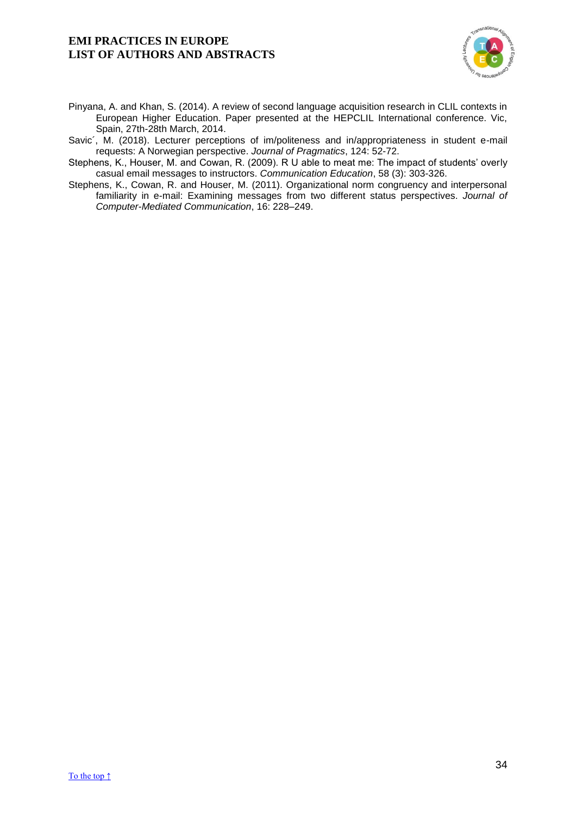

- Pinyana, A. and Khan, S. (2014). A review of second language acquisition research in CLIL contexts in European Higher Education. Paper presented at the HEPCLIL International conference. Vic, Spain, 27th-28th March, 2014.
- Savic´, M. (2018). Lecturer perceptions of im/politeness and in/appropriateness in student e-mail requests: A Norwegian perspective. *Journal of Pragmatics*, 124: 52-72.
- Stephens, K., Houser, M. and Cowan, R. (2009). R U able to meat me: The impact of students' overly casual email messages to instructors. *Communication Education*, 58 (3): 303-326.
- Stephens, K., Cowan, R. and Houser, M. (2011). Organizational norm congruency and interpersonal familiarity in e-mail: Examining messages from two different status perspectives. *Journal of Computer-Mediated Communication*, 16: 228–249.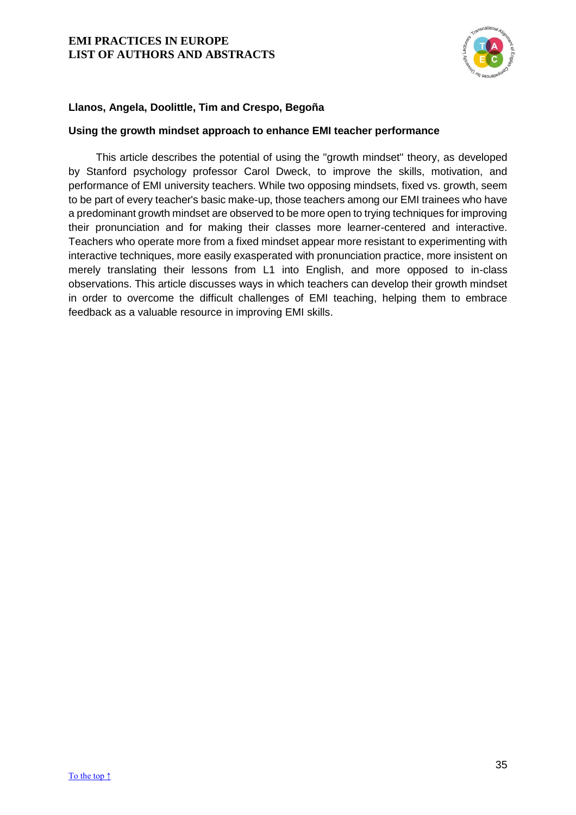

# **Llanos, Angela, Doolittle, Tim and Crespo, Begoña**

## <span id="page-35-0"></span>**Using the growth mindset approach to enhance EMI teacher performance**

This article describes the potential of using the "growth mindset" theory, as developed by Stanford psychology professor Carol Dweck, to improve the skills, motivation, and performance of EMI university teachers. While two opposing mindsets, fixed vs. growth, seem to be part of every teacher's basic make-up, those teachers among our EMI trainees who have a predominant growth mindset are observed to be more open to trying techniques for improving their pronunciation and for making their classes more learner-centered and interactive. Teachers who operate more from a fixed mindset appear more resistant to experimenting with interactive techniques, more easily exasperated with pronunciation practice, more insistent on merely translating their lessons from L1 into English, and more opposed to in-class observations. This article discusses ways in which teachers can develop their growth mindset in order to overcome the difficult challenges of EMI teaching, helping them to embrace feedback as a valuable resource in improving EMI skills.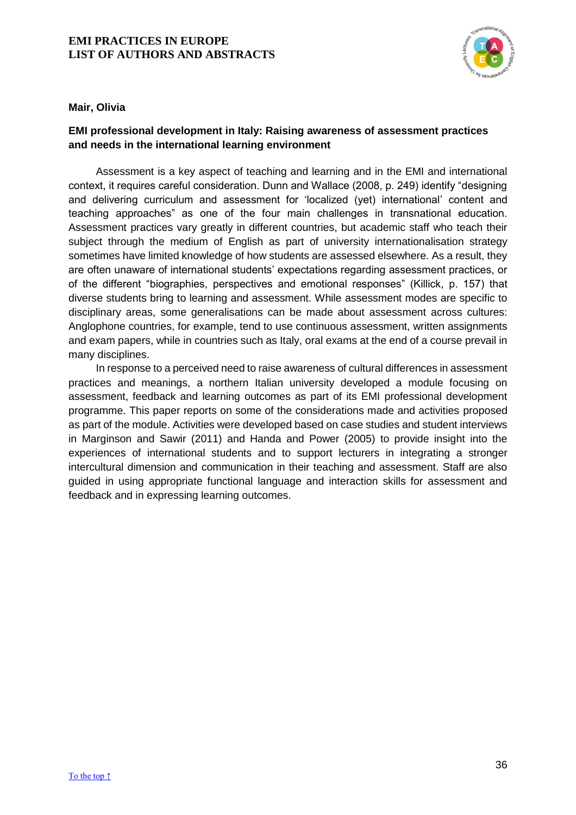

#### **Mair, Olivia**

# <span id="page-36-0"></span>**EMI professional development in Italy: Raising awareness of assessment practices and needs in the international learning environment**

Assessment is a key aspect of teaching and learning and in the EMI and international context, it requires careful consideration. Dunn and Wallace (2008, p. 249) identify "designing and delivering curriculum and assessment for 'localized (yet) international' content and teaching approaches" as one of the four main challenges in transnational education. Assessment practices vary greatly in different countries, but academic staff who teach their subject through the medium of English as part of university internationalisation strategy sometimes have limited knowledge of how students are assessed elsewhere. As a result, they are often unaware of international students' expectations regarding assessment practices, or of the different "biographies, perspectives and emotional responses" (Killick, p. 157) that diverse students bring to learning and assessment. While assessment modes are specific to disciplinary areas, some generalisations can be made about assessment across cultures: Anglophone countries, for example, tend to use continuous assessment, written assignments and exam papers, while in countries such as Italy, oral exams at the end of a course prevail in many disciplines.

In response to a perceived need to raise awareness of cultural differences in assessment practices and meanings, a northern Italian university developed a module focusing on assessment, feedback and learning outcomes as part of its EMI professional development programme. This paper reports on some of the considerations made and activities proposed as part of the module. Activities were developed based on case studies and student interviews in Marginson and Sawir (2011) and Handa and Power (2005) to provide insight into the experiences of international students and to support lecturers in integrating a stronger intercultural dimension and communication in their teaching and assessment. Staff are also guided in using appropriate functional language and interaction skills for assessment and feedback and in expressing learning outcomes.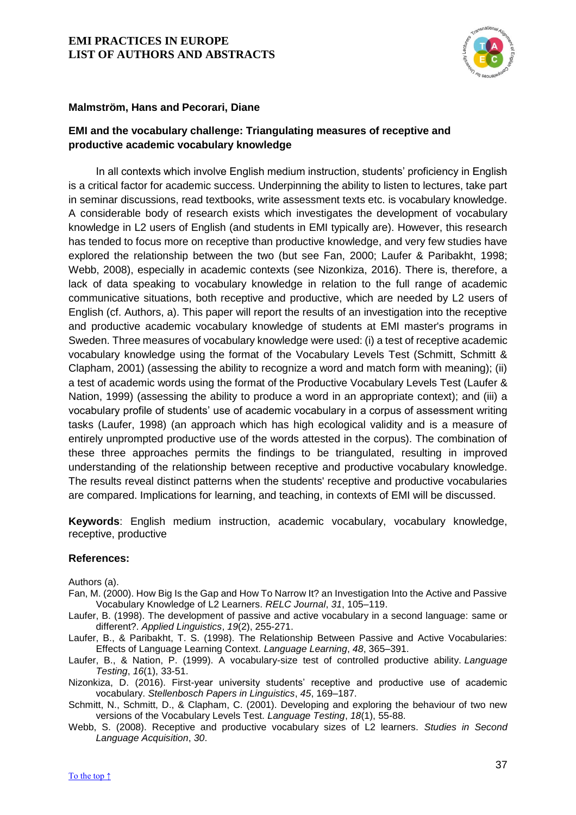

## **Malmström, Hans and Pecorari, Diane**

## <span id="page-37-0"></span>**EMI and the vocabulary challenge: Triangulating measures of receptive and productive academic vocabulary knowledge**

In all contexts which involve English medium instruction, students' proficiency in English is a critical factor for academic success. Underpinning the ability to listen to lectures, take part in seminar discussions, read textbooks, write assessment texts etc. is vocabulary knowledge. A considerable body of research exists which investigates the development of vocabulary knowledge in L2 users of English (and students in EMI typically are). However, this research has tended to focus more on receptive than productive knowledge, and very few studies have explored the relationship between the two (but see Fan, 2000; Laufer & Paribakht, 1998; Webb, 2008), especially in academic contexts (see Nizonkiza, 2016). There is, therefore, a lack of data speaking to vocabulary knowledge in relation to the full range of academic communicative situations, both receptive and productive, which are needed by L2 users of English (cf. Authors, a). This paper will report the results of an investigation into the receptive and productive academic vocabulary knowledge of students at EMI master's programs in Sweden. Three measures of vocabulary knowledge were used: (i) a test of receptive academic vocabulary knowledge using the format of the Vocabulary Levels Test (Schmitt, Schmitt & Clapham, 2001) (assessing the ability to recognize a word and match form with meaning); (ii) a test of academic words using the format of the Productive Vocabulary Levels Test (Laufer & Nation, 1999) (assessing the ability to produce a word in an appropriate context); and (iii) a vocabulary profile of students' use of academic vocabulary in a corpus of assessment writing tasks (Laufer, 1998) (an approach which has high ecological validity and is a measure of entirely unprompted productive use of the words attested in the corpus). The combination of these three approaches permits the findings to be triangulated, resulting in improved understanding of the relationship between receptive and productive vocabulary knowledge. The results reveal distinct patterns when the students' receptive and productive vocabularies are compared. Implications for learning, and teaching, in contexts of EMI will be discussed.

**Keywords**: English medium instruction, academic vocabulary, vocabulary knowledge, receptive, productive

#### **References:**

Authors (a).

- Fan, M. (2000). How Big Is the Gap and How To Narrow It? an Investigation Into the Active and Passive Vocabulary Knowledge of L2 Learners. *RELC Journal*, *31*, 105–119.
- Laufer, B. (1998). The development of passive and active vocabulary in a second language: same or different?. *Applied Linguistics*, *19*(2), 255-271.
- Laufer, B., & Paribakht, T. S. (1998). The Relationship Between Passive and Active Vocabularies: Effects of Language Learning Context. *Language Learning*, *48*, 365–391.
- Laufer, B., & Nation, P. (1999). A vocabulary-size test of controlled productive ability. *Language Testing*, *16*(1), 33-51.
- Nizonkiza, D. (2016). First-year university students' receptive and productive use of academic vocabulary. *Stellenbosch Papers in Linguistics*, *45*, 169–187.
- Schmitt, N., Schmitt, D., & Clapham, C. (2001). Developing and exploring the behaviour of two new versions of the Vocabulary Levels Test. *Language Testing*, *18*(1), 55-88.
- Webb, S. (2008). Receptive and productive vocabulary sizes of L2 learners. *Studies in Second Language Acquisition*, *30*.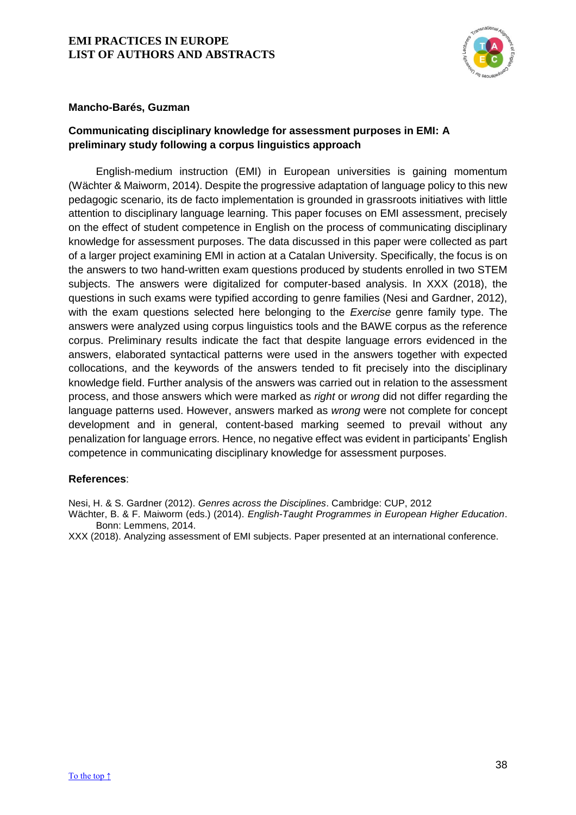

## **Mancho-Barés, Guzman**

# <span id="page-38-0"></span>**Communicating disciplinary knowledge for assessment purposes in EMI: A preliminary study following a corpus linguistics approach**

English-medium instruction (EMI) in European universities is gaining momentum (Wächter & Maiworm, 2014). Despite the progressive adaptation of language policy to this new pedagogic scenario, its de facto implementation is grounded in grassroots initiatives with little attention to disciplinary language learning. This paper focuses on EMI assessment, precisely on the effect of student competence in English on the process of communicating disciplinary knowledge for assessment purposes. The data discussed in this paper were collected as part of a larger project examining EMI in action at a Catalan University. Specifically, the focus is on the answers to two hand-written exam questions produced by students enrolled in two STEM subjects. The answers were digitalized for computer-based analysis. In XXX (2018), the questions in such exams were typified according to genre families (Nesi and Gardner, 2012), with the exam questions selected here belonging to the *Exercise* genre family type. The answers were analyzed using corpus linguistics tools and the BAWE corpus as the reference corpus. Preliminary results indicate the fact that despite language errors evidenced in the answers, elaborated syntactical patterns were used in the answers together with expected collocations, and the keywords of the answers tended to fit precisely into the disciplinary knowledge field. Further analysis of the answers was carried out in relation to the assessment process, and those answers which were marked as *right* or *wrong* did not differ regarding the language patterns used. However, answers marked as *wrong* were not complete for concept development and in general, content-based marking seemed to prevail without any penalization for language errors. Hence, no negative effect was evident in participants' English competence in communicating disciplinary knowledge for assessment purposes.

## **References**:

Nesi, H. & S. Gardner (2012). *Genres across the Disciplines*. Cambridge: CUP, 2012

Wächter, B. & F. Maiworm (eds.) (2014). *English-Taught Programmes in European Higher Education*. Bonn: Lemmens, 2014.

XXX (2018). Analyzing assessment of EMI subjects. Paper presented at an international conference.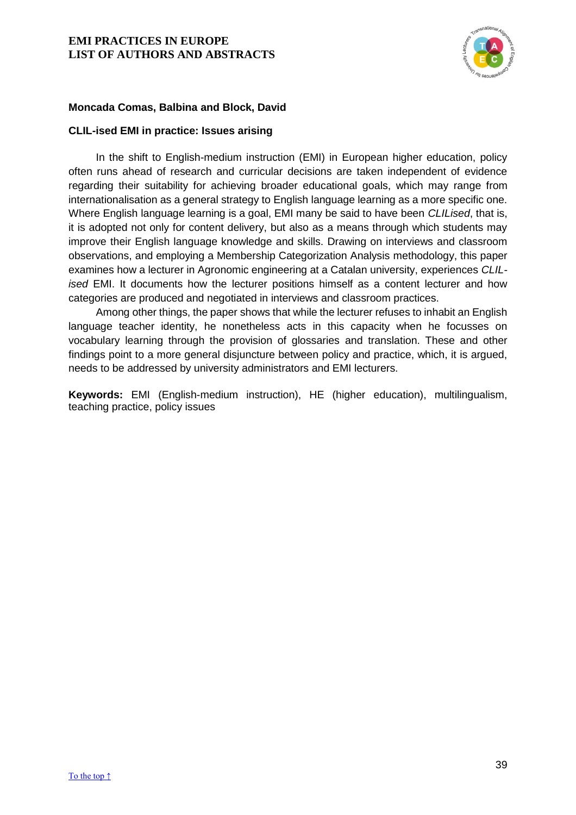

# **Moncada Comas, Balbina and Block, David**

## <span id="page-39-0"></span>**CLIL-ised EMI in practice: Issues arising**

In the shift to English-medium instruction (EMI) in European higher education, policy often runs ahead of research and curricular decisions are taken independent of evidence regarding their suitability for achieving broader educational goals, which may range from internationalisation as a general strategy to English language learning as a more specific one. Where English language learning is a goal, EMI many be said to have been *CLILised*, that is, it is adopted not only for content delivery, but also as a means through which students may improve their English language knowledge and skills. Drawing on interviews and classroom observations, and employing a Membership Categorization Analysis methodology, this paper examines how a lecturer in Agronomic engineering at a Catalan university, experiences *CLILised* EMI. It documents how the lecturer positions himself as a content lecturer and how categories are produced and negotiated in interviews and classroom practices.

Among other things, the paper shows that while the lecturer refuses to inhabit an English language teacher identity, he nonetheless acts in this capacity when he focusses on vocabulary learning through the provision of glossaries and translation. These and other findings point to a more general disjuncture between policy and practice, which, it is argued, needs to be addressed by university administrators and EMI lecturers.

**Keywords:** EMI (English-medium instruction), HE (higher education), multilingualism, teaching practice, policy issues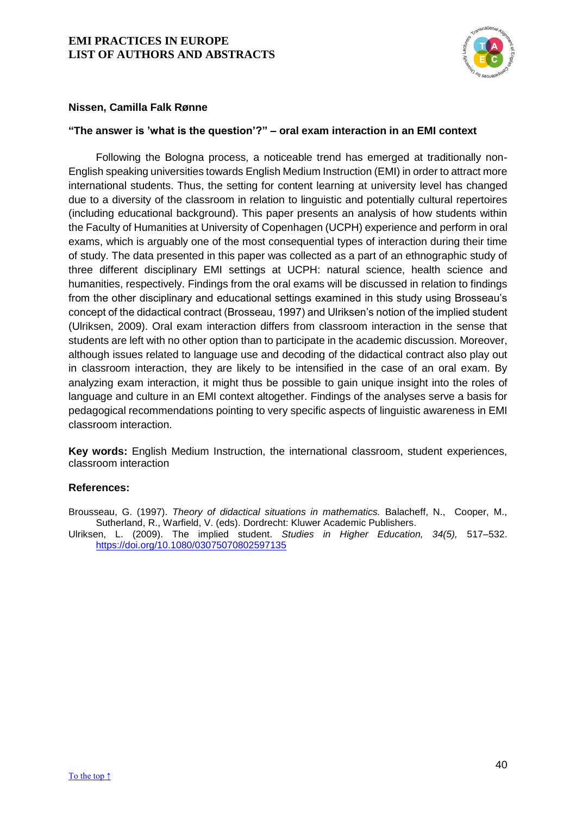

## **Nissen, Camilla Falk Rønne**

## <span id="page-40-0"></span>**"The answer is 'what is the question'?" – oral exam interaction in an EMI context**

Following the Bologna process, a noticeable trend has emerged at traditionally non-English speaking universities towards English Medium Instruction (EMI) in order to attract more international students. Thus, the setting for content learning at university level has changed due to a diversity of the classroom in relation to linguistic and potentially cultural repertoires (including educational background). This paper presents an analysis of how students within the Faculty of Humanities at University of Copenhagen (UCPH) experience and perform in oral exams, which is arguably one of the most consequential types of interaction during their time of study. The data presented in this paper was collected as a part of an ethnographic study of three different disciplinary EMI settings at UCPH: natural science, health science and humanities, respectively. Findings from the oral exams will be discussed in relation to findings from the other disciplinary and educational settings examined in this study using Brosseau's concept of the didactical contract (Brosseau, 1997) and Ulriksen's notion of the implied student (Ulriksen, 2009). Oral exam interaction differs from classroom interaction in the sense that students are left with no other option than to participate in the academic discussion. Moreover, although issues related to language use and decoding of the didactical contract also play out in classroom interaction, they are likely to be intensified in the case of an oral exam. By analyzing exam interaction, it might thus be possible to gain unique insight into the roles of language and culture in an EMI context altogether. Findings of the analyses serve a basis for pedagogical recommendations pointing to very specific aspects of linguistic awareness in EMI classroom interaction.

**Key words:** English Medium Instruction, the international classroom, student experiences, classroom interaction

#### **References:**

Brousseau, G. (1997). *Theory of didactical situations in mathematics.* Balacheff, N., Cooper, M., Sutherland, R., Warfield, V. (eds). Dordrecht: Kluwer Academic Publishers.

Ulriksen, L. (2009). The implied student. *Studies in Higher Education, 34(5),* 517–532. <https://doi.org/10.1080/03075070802597135>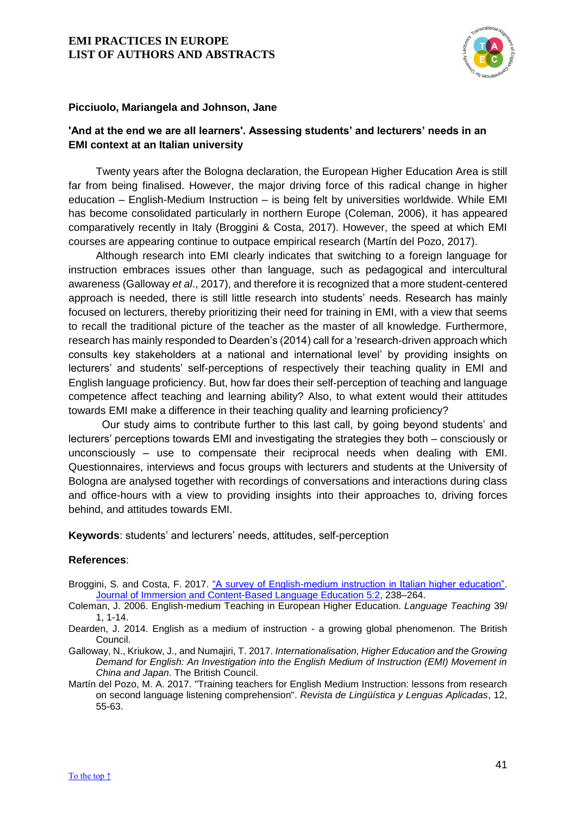

#### **Picciuolo, Mariangela and Johnson, Jane**

# <span id="page-41-0"></span>**'And at the end we are all learners'. Assessing students' and lecturers' needs in an EMI context at an Italian university**

Twenty years after the Bologna declaration, the European Higher Education Area is still far from being finalised. However, the major driving force of this radical change in higher education – English-Medium Instruction – is being felt by universities worldwide. While EMI has become consolidated particularly in northern Europe (Coleman, 2006), it has appeared comparatively recently in Italy (Broggini & Costa, 2017). However, the speed at which EMI courses are appearing continue to outpace empirical research (Martín del Pozo, 2017).

Although research into EMI clearly indicates that switching to a foreign language for instruction embraces issues other than language, such as pedagogical and intercultural awareness (Galloway *et al*., 2017), and therefore it is recognized that a more student-centered approach is needed, there is still little research into students' needs. Research has mainly focused on lecturers, thereby prioritizing their need for training in EMI, with a view that seems to recall the traditional picture of the teacher as the master of all knowledge. Furthermore, research has mainly responded to Dearden's (2014) call for a 'research-driven approach which consults key stakeholders at a national and international level' by providing insights on lecturers' and students' self-perceptions of respectively their teaching quality in EMI and English language proficiency. But, how far does their self-perception of teaching and language competence affect teaching and learning ability? Also, to what extent would their attitudes towards EMI make a difference in their teaching quality and learning proficiency?

 Our study aims to contribute further to this last call, by going beyond students' and lecturers' perceptions towards EMI and investigating the strategies they both – consciously or unconsciously – use to compensate their reciprocal needs when dealing with EMI. Questionnaires, interviews and focus groups with lecturers and students at the University of Bologna are analysed together with recordings of conversations and interactions during class and office-hours with a view to providing insights into their approaches to, driving forces behind, and attitudes towards EMI.

**Keywords**: students' and lecturers' needs, attitudes, self-perception

- Broggini, S. and Costa, F. 2017. ["A survey of English-medium instruction in Italian higher education".](https://benjamins.com/catalog/jicb.5.2.04bro) [Journal of Immersion and Content-Based Language Education](https://benjamins.com/catalog/jicb.5.2) 5:2, 238–264.
- Coleman, J. 2006. English-medium Teaching in European Higher Education. *Language Teaching* 39/ 1, 1-14.
- Dearden, J. 2014. English as a medium of instruction a growing global phenomenon. The British Council.
- Galloway, N., Kriukow, J., and Numajiri, T. 2017. *Internationalisation, Higher Education and the Growing Demand for English: An Investigation into the English Medium of Instruction (EMI) Movement in China and Japan*. The British Council.
- Martín del Pozo, M. A. 2017. "Training teachers for English Medium Instruction: lessons from research on second language listening comprehension". *Revista de Lingüística y Lenguas Aplicadas*, 12, 55-63.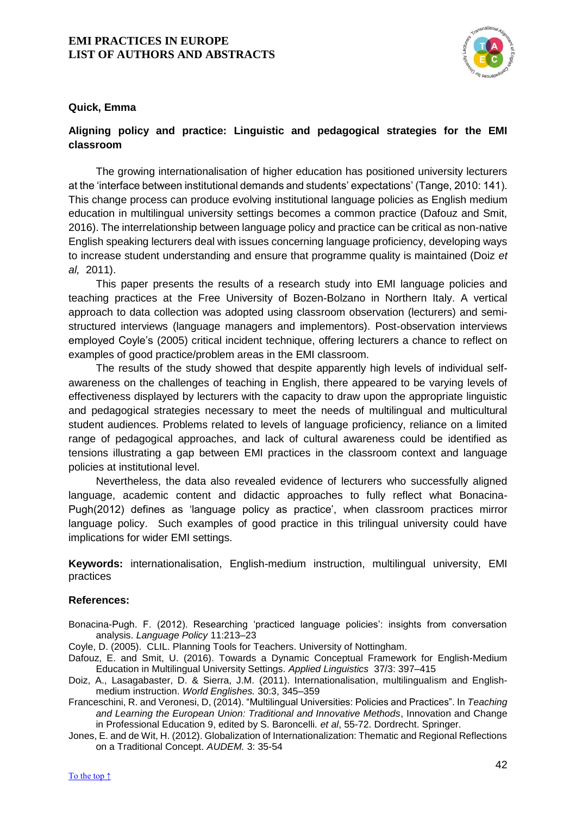

## **Quick, Emma**

# <span id="page-42-0"></span>**Aligning policy and practice: Linguistic and pedagogical strategies for the EMI classroom**

The growing internationalisation of higher education has positioned university lecturers at the 'interface between institutional demands and students' expectations' (Tange, 2010: 141). This change process can produce evolving institutional language policies as English medium education in multilingual university settings becomes a common practice (Dafouz and Smit, 2016). The interrelationship between language policy and practice can be critical as non-native English speaking lecturers deal with issues concerning language proficiency, developing ways to increase student understanding and ensure that programme quality is maintained (Doiz *et al,* 2011).

This paper presents the results of a research study into EMI language policies and teaching practices at the Free University of Bozen-Bolzano in Northern Italy. A vertical approach to data collection was adopted using classroom observation (lecturers) and semistructured interviews (language managers and implementors). Post-observation interviews employed Coyle's (2005) critical incident technique, offering lecturers a chance to reflect on examples of good practice/problem areas in the EMI classroom.

The results of the study showed that despite apparently high levels of individual selfawareness on the challenges of teaching in English, there appeared to be varying levels of effectiveness displayed by lecturers with the capacity to draw upon the appropriate linguistic and pedagogical strategies necessary to meet the needs of multilingual and multicultural student audiences. Problems related to levels of language proficiency, reliance on a limited range of pedagogical approaches, and lack of cultural awareness could be identified as tensions illustrating a gap between EMI practices in the classroom context and language policies at institutional level.

Nevertheless, the data also revealed evidence of lecturers who successfully aligned language, academic content and didactic approaches to fully reflect what Bonacina-Pugh(2012) defines as 'language policy as practice', when classroom practices mirror language policy. Such examples of good practice in this trilingual university could have implications for wider EMI settings.

**Keywords:** internationalisation, English-medium instruction, multilingual university, EMI practices

- Bonacina-Pugh. F. (2012). Researching 'practiced language policies': insights from conversation analysis. *Language Policy* 11:213–23
- Coyle, D. (2005). CLIL. Planning Tools for Teachers. University of Nottingham.
- Dafouz, E. and Smit, U. (2016). Towards a Dynamic Conceptual Framework for English-Medium Education in Multilingual University Settings. *Applied Linguistics* 37/3: 397–415
- Doiz, A., Lasagabaster, D. & Sierra, J.M. (2011). Internationalisation, multilingualism and Englishmedium instruction. *World Englishes.* 30:3, 345–359
- Franceschini, R. and Veronesi, D, (2014). "Multilingual Universities: Policies and Practices". In *Teaching and Learning the European Union: Traditional and Innovative Methods*, Innovation and Change in Professional Education 9, edited by S. Baroncelli*. et al*, 55-72. Dordrecht. Springer.
- Jones, E. and de Wit, H. (2012). Globalization of Internationalization: Thematic and Regional Reflections on a Traditional Concept. *AUDEM.* 3: 35-54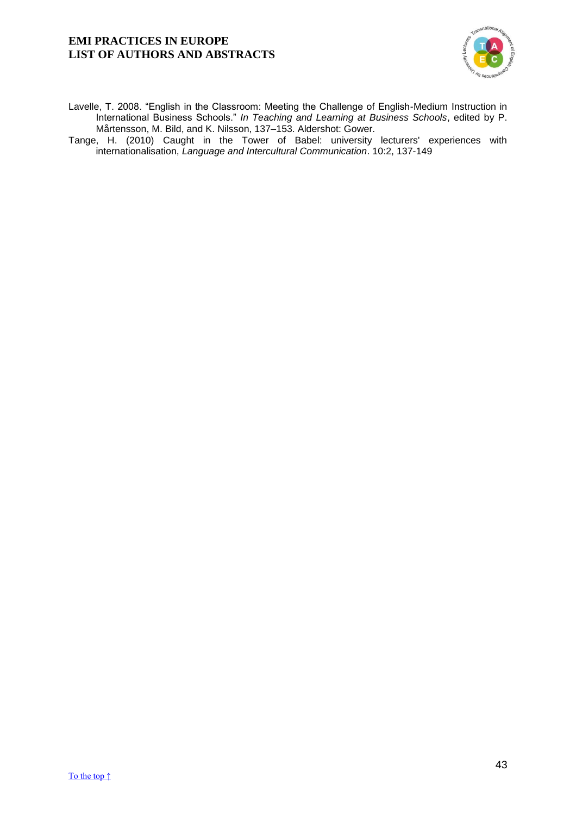

- Lavelle, T. 2008. "English in the Classroom: Meeting the Challenge of English-Medium Instruction in International Business Schools." *In Teaching and Learning at Business Schools*, edited by P. Mårtensson, M. Bild, and K. Nilsson, 137–153. Aldershot: Gower.
- Tange, H. (2010) Caught in the Tower of Babel: university lecturers' experiences with internationalisation, *Language and Intercultural Communication*. 10:2, 137-149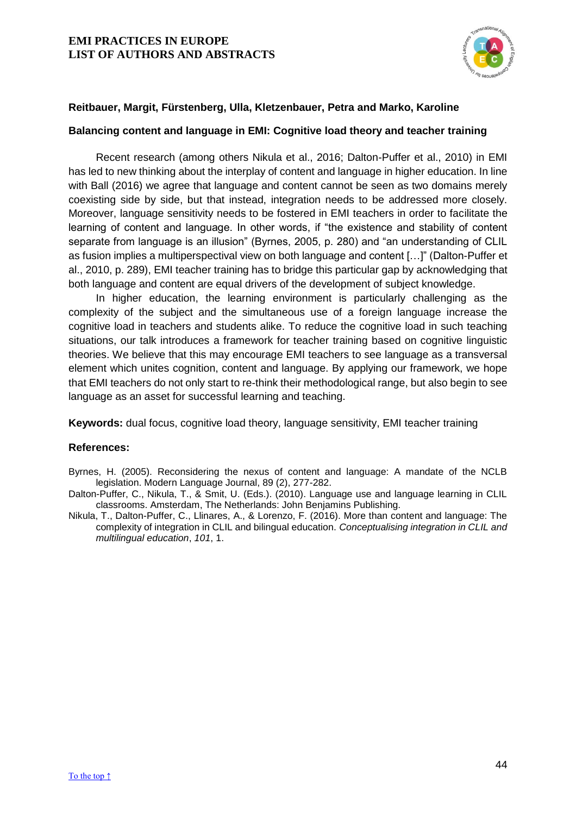

## **Reitbauer, Margit, Fürstenberg, Ulla, Kletzenbauer, Petra and Marko, Karoline**

#### <span id="page-44-0"></span>**Balancing content and language in EMI: Cognitive load theory and teacher training**

Recent research (among others Nikula et al., 2016; Dalton-Puffer et al., 2010) in EMI has led to new thinking about the interplay of content and language in higher education. In line with Ball (2016) we agree that language and content cannot be seen as two domains merely coexisting side by side, but that instead, integration needs to be addressed more closely. Moreover, language sensitivity needs to be fostered in EMI teachers in order to facilitate the learning of content and language. In other words, if "the existence and stability of content separate from language is an illusion" (Byrnes, 2005, p. 280) and "an understanding of CLIL as fusion implies a multiperspectival view on both language and content […]" (Dalton-Puffer et al., 2010, p. 289), EMI teacher training has to bridge this particular gap by acknowledging that both language and content are equal drivers of the development of subject knowledge.

In higher education, the learning environment is particularly challenging as the complexity of the subject and the simultaneous use of a foreign language increase the cognitive load in teachers and students alike. To reduce the cognitive load in such teaching situations, our talk introduces a framework for teacher training based on cognitive linguistic theories. We believe that this may encourage EMI teachers to see language as a transversal element which unites cognition, content and language. By applying our framework, we hope that EMI teachers do not only start to re-think their methodological range, but also begin to see language as an asset for successful learning and teaching.

**Keywords:** dual focus, cognitive load theory, language sensitivity, EMI teacher training

- Byrnes, H. (2005). Reconsidering the nexus of content and language: A mandate of the NCLB legislation. Modern Language Journal, 89 (2), 277-282.
- Dalton-Puffer, C., Nikula, T., & Smit, U. (Eds.). (2010). Language use and language learning in CLIL classrooms. Amsterdam, The Netherlands: John Benjamins Publishing.
- Nikula, T., Dalton-Puffer, C., Llinares, A., & Lorenzo, F. (2016). More than content and language: The complexity of integration in CLIL and bilingual education. *Conceptualising integration in CLIL and multilingual education*, *101*, 1.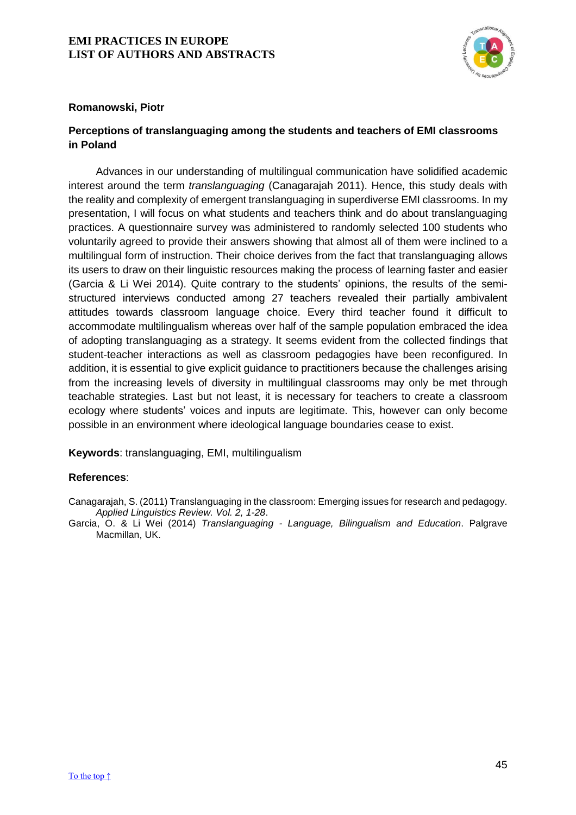

## **Romanowski, Piotr**

## <span id="page-45-0"></span>**Perceptions of translanguaging among the students and teachers of EMI classrooms in Poland**

Advances in our understanding of multilingual communication have solidified academic interest around the term *translanguaging* (Canagarajah 2011). Hence, this study deals with the reality and complexity of emergent translanguaging in superdiverse EMI classrooms. In my presentation, I will focus on what students and teachers think and do about translanguaging practices. A questionnaire survey was administered to randomly selected 100 students who voluntarily agreed to provide their answers showing that almost all of them were inclined to a multilingual form of instruction. Their choice derives from the fact that translanguaging allows its users to draw on their linguistic resources making the process of learning faster and easier (Garcia & Li Wei 2014). Quite contrary to the students' opinions, the results of the semistructured interviews conducted among 27 teachers revealed their partially ambivalent attitudes towards classroom language choice. Every third teacher found it difficult to accommodate multilingualism whereas over half of the sample population embraced the idea of adopting translanguaging as a strategy. It seems evident from the collected findings that student-teacher interactions as well as classroom pedagogies have been reconfigured. In addition, it is essential to give explicit guidance to practitioners because the challenges arising from the increasing levels of diversity in multilingual classrooms may only be met through teachable strategies. Last but not least, it is necessary for teachers to create a classroom ecology where students' voices and inputs are legitimate. This, however can only become possible in an environment where ideological language boundaries cease to exist.

**Keywords**: translanguaging, EMI, multilingualism

## **References**:

Canagarajah, S. (2011) Translanguaging in the classroom: Emerging issues for research and pedagogy. *Applied Linguistics Review. Vol. 2, 1-28*.

Garcia, O. & Li Wei (2014) *Translanguaging - Language, Bilingualism and Education*. Palgrave Macmillan, UK.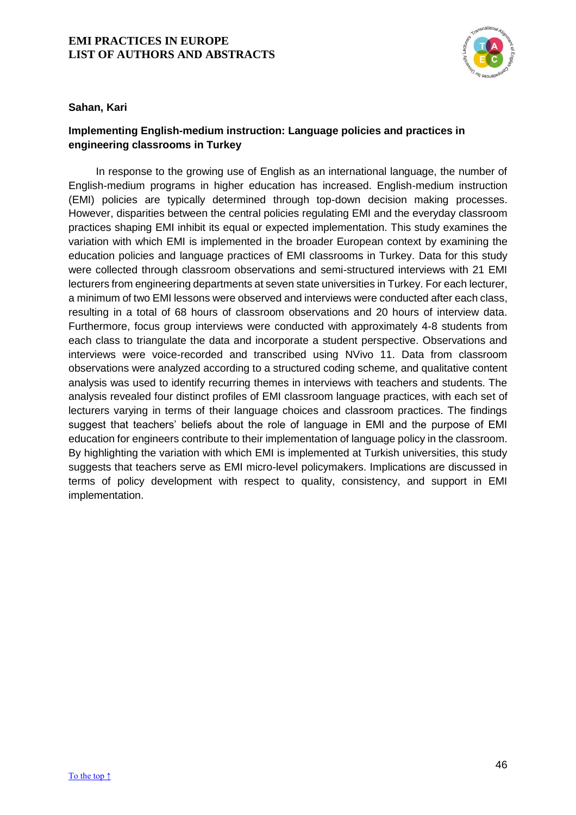

## **Sahan, Kari**

# <span id="page-46-0"></span>**Implementing English-medium instruction: Language policies and practices in engineering classrooms in Turkey**

In response to the growing use of English as an international language, the number of English-medium programs in higher education has increased. English-medium instruction (EMI) policies are typically determined through top-down decision making processes. However, disparities between the central policies regulating EMI and the everyday classroom practices shaping EMI inhibit its equal or expected implementation. This study examines the variation with which EMI is implemented in the broader European context by examining the education policies and language practices of EMI classrooms in Turkey. Data for this study were collected through classroom observations and semi-structured interviews with 21 EMI lecturers from engineering departments at seven state universities in Turkey. For each lecturer, a minimum of two EMI lessons were observed and interviews were conducted after each class, resulting in a total of 68 hours of classroom observations and 20 hours of interview data. Furthermore, focus group interviews were conducted with approximately 4-8 students from each class to triangulate the data and incorporate a student perspective. Observations and interviews were voice-recorded and transcribed using NVivo 11. Data from classroom observations were analyzed according to a structured coding scheme, and qualitative content analysis was used to identify recurring themes in interviews with teachers and students. The analysis revealed four distinct profiles of EMI classroom language practices, with each set of lecturers varying in terms of their language choices and classroom practices. The findings suggest that teachers' beliefs about the role of language in EMI and the purpose of EMI education for engineers contribute to their implementation of language policy in the classroom. By highlighting the variation with which EMI is implemented at Turkish universities, this study suggests that teachers serve as EMI micro-level policymakers. Implications are discussed in terms of policy development with respect to quality, consistency, and support in EMI implementation.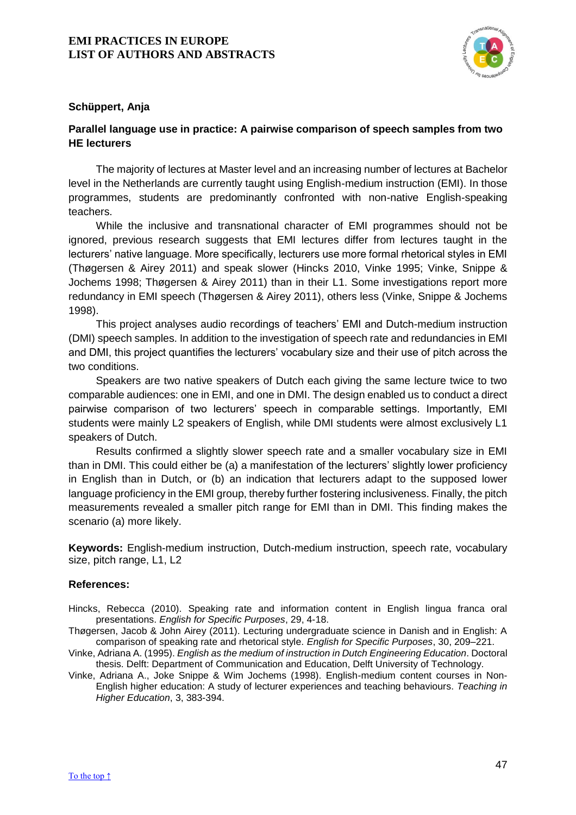

## **Schüppert, Anja**

# <span id="page-47-0"></span>**Parallel language use in practice: A pairwise comparison of speech samples from two HE lecturers**

The majority of lectures at Master level and an increasing number of lectures at Bachelor level in the Netherlands are currently taught using English-medium instruction (EMI). In those programmes, students are predominantly confronted with non-native English-speaking teachers.

While the inclusive and transnational character of EMI programmes should not be ignored, previous research suggests that EMI lectures differ from lectures taught in the lecturers' native language. More specifically, lecturers use more formal rhetorical styles in EMI (Thøgersen & Airey 2011) and speak slower (Hincks 2010, Vinke 1995; Vinke, Snippe & Jochems 1998; Thøgersen & Airey 2011) than in their L1. Some investigations report more redundancy in EMI speech (Thøgersen & Airey 2011), others less (Vinke, Snippe & Jochems 1998).

This project analyses audio recordings of teachers' EMI and Dutch-medium instruction (DMI) speech samples. In addition to the investigation of speech rate and redundancies in EMI and DMI, this project quantifies the lecturers' vocabulary size and their use of pitch across the two conditions.

Speakers are two native speakers of Dutch each giving the same lecture twice to two comparable audiences: one in EMI, and one in DMI. The design enabled us to conduct a direct pairwise comparison of two lecturers' speech in comparable settings. Importantly, EMI students were mainly L2 speakers of English, while DMI students were almost exclusively L1 speakers of Dutch.

Results confirmed a slightly slower speech rate and a smaller vocabulary size in EMI than in DMI. This could either be (a) a manifestation of the lecturers' slightly lower proficiency in English than in Dutch, or (b) an indication that lecturers adapt to the supposed lower language proficiency in the EMI group, thereby further fostering inclusiveness. Finally, the pitch measurements revealed a smaller pitch range for EMI than in DMI. This finding makes the scenario (a) more likely.

**Keywords:** English-medium instruction, Dutch-medium instruction, speech rate, vocabulary size, pitch range, L1, L2

- Hincks, Rebecca (2010). Speaking rate and information content in English lingua franca oral presentations. *English for Specific Purposes*, 29, 4-18.
- Thøgersen, Jacob & John Airey (2011). Lecturing undergraduate science in Danish and in English: A comparison of speaking rate and rhetorical style. *English for Specific Purposes*, 30, 209–221.
- Vinke, Adriana A. (1995). *English as the medium of instruction in Dutch Engineering Education*. Doctoral thesis. Delft: Department of Communication and Education, Delft University of Technology.
- Vinke, Adriana A., Joke Snippe & Wim Jochems (1998). English-medium content courses in Non-English higher education: A study of lecturer experiences and teaching behaviours. *Teaching in Higher Education*, 3, 383-394.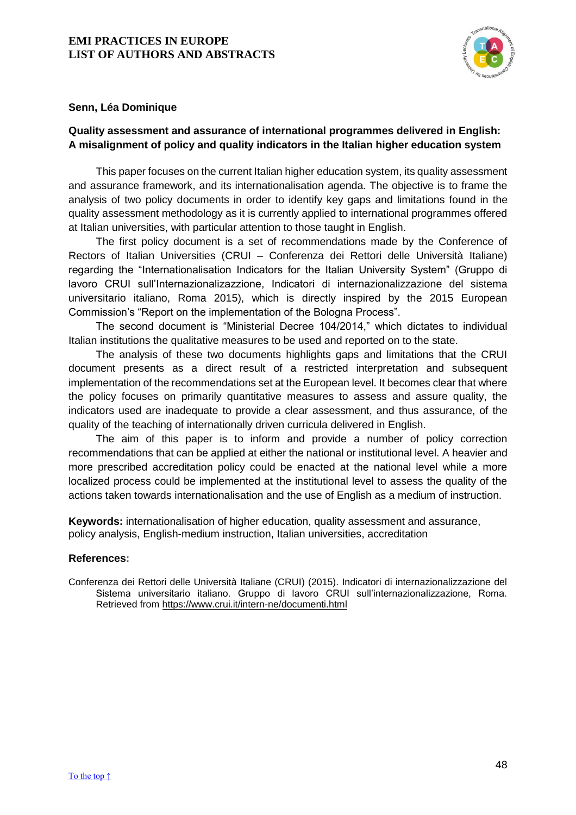

## **Senn, Léa Dominique**

# <span id="page-48-0"></span>**Quality assessment and assurance of international programmes delivered in English: A misalignment of policy and quality indicators in the Italian higher education system**

This paper focuses on the current Italian higher education system, its quality assessment and assurance framework, and its internationalisation agenda. The objective is to frame the analysis of two policy documents in order to identify key gaps and limitations found in the quality assessment methodology as it is currently applied to international programmes offered at Italian universities, with particular attention to those taught in English.

The first policy document is a set of recommendations made by the Conference of Rectors of Italian Universities (CRUI – Conferenza dei Rettori delle Università Italiane) regarding the "Internationalisation Indicators for the Italian University System" (Gruppo di lavoro CRUI sull'Internazionalizazzione, Indicatori di internazionalizzazione del sistema universitario italiano, Roma 2015), which is directly inspired by the 2015 European Commission's "Report on the implementation of the Bologna Process".

The second document is "Ministerial Decree 104/2014," which dictates to individual Italian institutions the qualitative measures to be used and reported on to the state.

The analysis of these two documents highlights gaps and limitations that the CRUI document presents as a direct result of a restricted interpretation and subsequent implementation of the recommendations set at the European level. It becomes clear that where the policy focuses on primarily quantitative measures to assess and assure quality, the indicators used are inadequate to provide a clear assessment, and thus assurance, of the quality of the teaching of internationally driven curricula delivered in English.

The aim of this paper is to inform and provide a number of policy correction recommendations that can be applied at either the national or institutional level. A heavier and more prescribed accreditation policy could be enacted at the national level while a more localized process could be implemented at the institutional level to assess the quality of the actions taken towards internationalisation and the use of English as a medium of instruction.

**Keywords:** internationalisation of higher education, quality assessment and assurance, policy analysis, English-medium instruction, Italian universities, accreditation

#### **References:**

Conferenza dei Rettori delle Università Italiane (CRUI) (2015). Indicatori di internazionalizzazione del Sistema universitario italiano. Gruppo di lavoro CRUI sull'internazionalizzazione, Roma. Retrieved from<https://www.crui.it/intern-ne/documenti.html>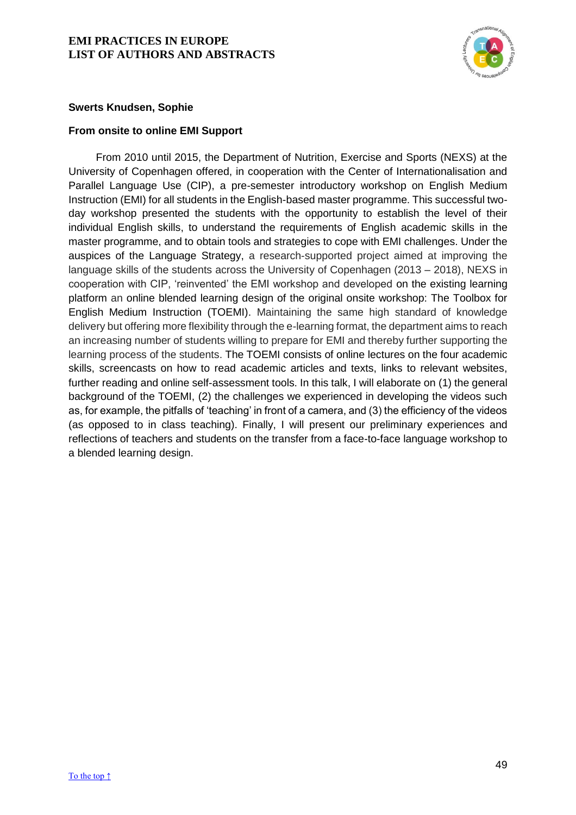

## **Swerts Knudsen, Sophie**

## <span id="page-49-0"></span>**From onsite to online EMI Support**

From 2010 until 2015, the Department of Nutrition, Exercise and Sports (NEXS) at the University of Copenhagen offered, in cooperation with the Center of Internationalisation and Parallel Language Use (CIP), a pre-semester introductory workshop on English Medium Instruction (EMI) for all students in the English-based master programme. This successful twoday workshop presented the students with the opportunity to establish the level of their individual English skills, to understand the requirements of English academic skills in the master programme, and to obtain tools and strategies to cope with EMI challenges. Under the auspices of the Language Strategy, a research-supported project aimed at improving the language skills of the students across the University of Copenhagen (2013 – 2018), NEXS in cooperation with CIP, 'reinvented' the EMI workshop and developed on the existing learning platform an online blended learning design of the original onsite workshop: The Toolbox for English Medium Instruction (TOEMI). Maintaining the same high standard of knowledge delivery but offering more flexibility through the e-learning format, the department aims to reach an increasing number of students willing to prepare for EMI and thereby further supporting the learning process of the students. The TOEMI consists of online lectures on the four academic skills, screencasts on how to read academic articles and texts, links to relevant websites, further reading and online self-assessment tools. In this talk, I will elaborate on (1) the general background of the TOEMI, (2) the challenges we experienced in developing the videos such as, for example, the pitfalls of 'teaching' in front of a camera, and (3) the efficiency of the videos (as opposed to in class teaching). Finally, I will present our preliminary experiences and reflections of teachers and students on the transfer from a face-to-face language workshop to a blended learning design.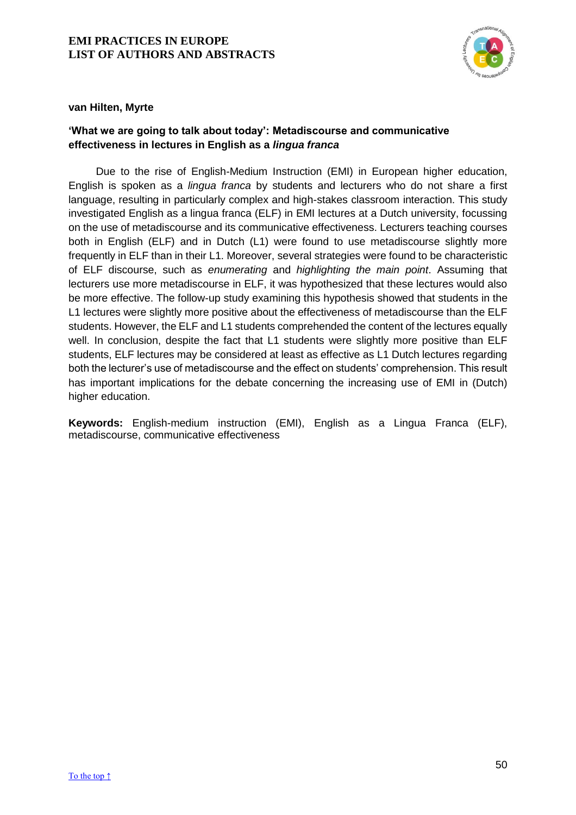

## **van Hilten, Myrte**

# <span id="page-50-0"></span>**'What we are going to talk about today': Metadiscourse and communicative effectiveness in lectures in English as a** *lingua franca*

Due to the rise of English-Medium Instruction (EMI) in European higher education, English is spoken as a *lingua franca* by students and lecturers who do not share a first language, resulting in particularly complex and high-stakes classroom interaction. This study investigated English as a lingua franca (ELF) in EMI lectures at a Dutch university, focussing on the use of metadiscourse and its communicative effectiveness. Lecturers teaching courses both in English (ELF) and in Dutch (L1) were found to use metadiscourse slightly more frequently in ELF than in their L1. Moreover, several strategies were found to be characteristic of ELF discourse, such as *enumerating* and *highlighting the main point*. Assuming that lecturers use more metadiscourse in ELF, it was hypothesized that these lectures would also be more effective. The follow-up study examining this hypothesis showed that students in the L1 lectures were slightly more positive about the effectiveness of metadiscourse than the ELF students. However, the ELF and L1 students comprehended the content of the lectures equally well. In conclusion, despite the fact that L1 students were slightly more positive than ELF students, ELF lectures may be considered at least as effective as L1 Dutch lectures regarding both the lecturer's use of metadiscourse and the effect on students' comprehension. This result has important implications for the debate concerning the increasing use of EMI in (Dutch) higher education.

**Keywords:** English-medium instruction (EMI), English as a Lingua Franca (ELF), metadiscourse, communicative effectiveness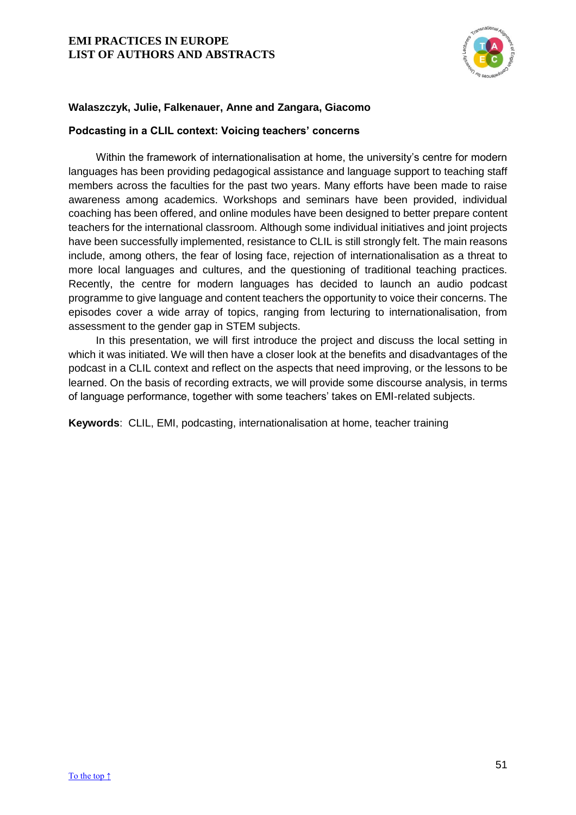

# **Walaszczyk, Julie, Falkenauer, Anne and Zangara, Giacomo**

## <span id="page-51-0"></span>**Podcasting in a CLIL context: Voicing teachers' concerns**

Within the framework of internationalisation at home, the university's centre for modern languages has been providing pedagogical assistance and language support to teaching staff members across the faculties for the past two years. Many efforts have been made to raise awareness among academics. Workshops and seminars have been provided, individual coaching has been offered, and online modules have been designed to better prepare content teachers for the international classroom. Although some individual initiatives and joint projects have been successfully implemented, resistance to CLIL is still strongly felt. The main reasons include, among others, the fear of losing face, rejection of internationalisation as a threat to more local languages and cultures, and the questioning of traditional teaching practices. Recently, the centre for modern languages has decided to launch an audio podcast programme to give language and content teachers the opportunity to voice their concerns. The episodes cover a wide array of topics, ranging from lecturing to internationalisation, from assessment to the gender gap in STEM subjects.

In this presentation, we will first introduce the project and discuss the local setting in which it was initiated. We will then have a closer look at the benefits and disadvantages of the podcast in a CLIL context and reflect on the aspects that need improving, or the lessons to be learned. On the basis of recording extracts, we will provide some discourse analysis, in terms of language performance, together with some teachers' takes on EMI-related subjects.

**Keywords**: CLIL, EMI, podcasting, internationalisation at home, teacher training